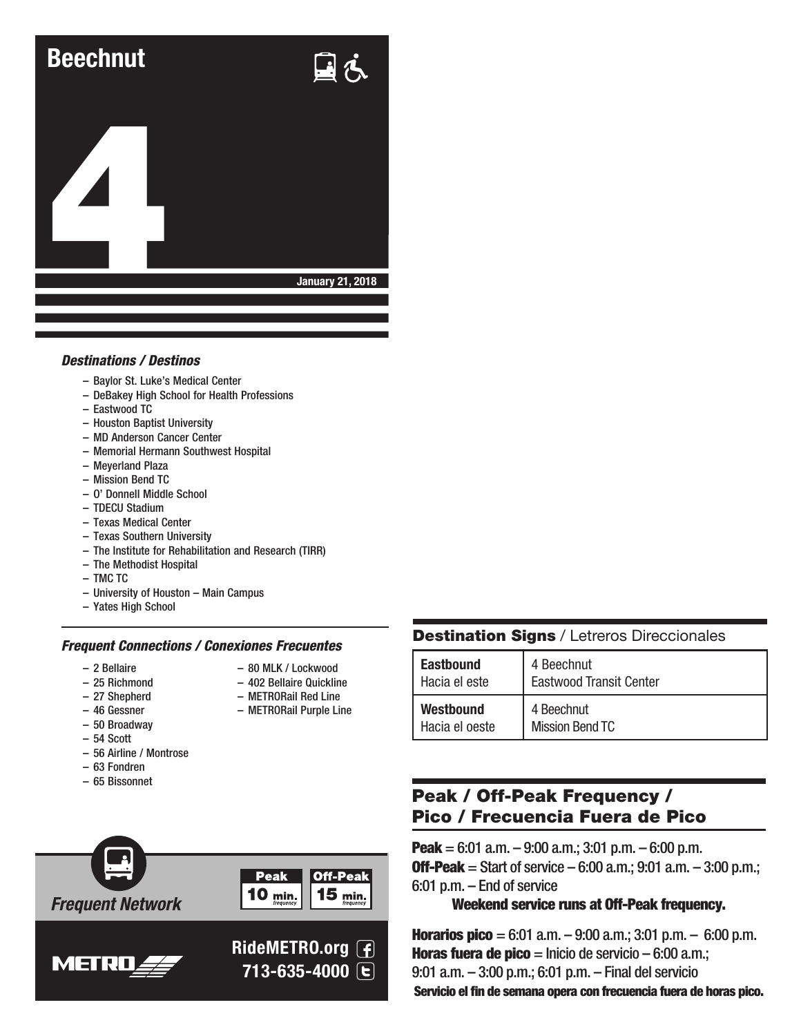

#### *Destinations / Destinos*

- Baylor St. Luke's Medical Center
- DeBakey High School for Health Professions
- Eastwood TC
- Houston Baptist University
- MD Anderson Cancer Center
- Memorial Hermann Southwest Hospital
- Meyerland Plaza
- Mission Bend TC
- O' Donnell Middle School
- TDECU Stadium
- Texas Medical Center
- Texas Southern University
- The Institute for Rehabilitation and Research (TIRR)
- The Methodist Hospital
- TMC TC
- University of Houston Main Campus
- Yates High School

#### *Frequent Connections / Conexiones Frecuentes*

- 2 Bellaire
- 80 MLK / Lockwood – 402 Bellaire Quickline

– METRORail Red Line – METRORail Purple Line

- 25 Richmond – 27 Shepherd
	-
- 46 Gessner
- 50 Broadway
- 54 Scott
- 56 Airline / Montrose
- 63 Fondren – 65 Bissonnet



### **Destination Signs / Letreros Direccionales**

| <b>Eastbound</b> | 4 Beechnut                     |
|------------------|--------------------------------|
| Hacia el este    | <b>Eastwood Transit Center</b> |
| <b>Westbound</b> | 4 Beechnut                     |
| Hacia el oeste   | <b>Mission Bend TC</b>         |

# Peak / Off-Peak Frequency / Pico / Frecuencia Fuera de Pico

**Peak** = 6:01 a.m.  $-$  9:00 a.m.; 3:01 p.m.  $-$  6:00 p.m. **Off-Peak** = Start of service  $-6:00$  a.m.; 9:01 a.m.  $-3:00$  p.m.; 6:01 p.m. – End of service

#### Weekend service runs at Off-Peak frequency.

**Horarios pico** = 6:01 a.m.  $-$  9:00 a.m.; 3:01 p.m.  $-$  6:00 p.m. **Horas fuera de pico** = Inicio de servicio – 6:00 a.m.; 9:01 a.m. – 3:00 p.m.; 6:01 p.m. – Final del servicio Servicio el fin de semana opera con frecuencia fuera de horas pico.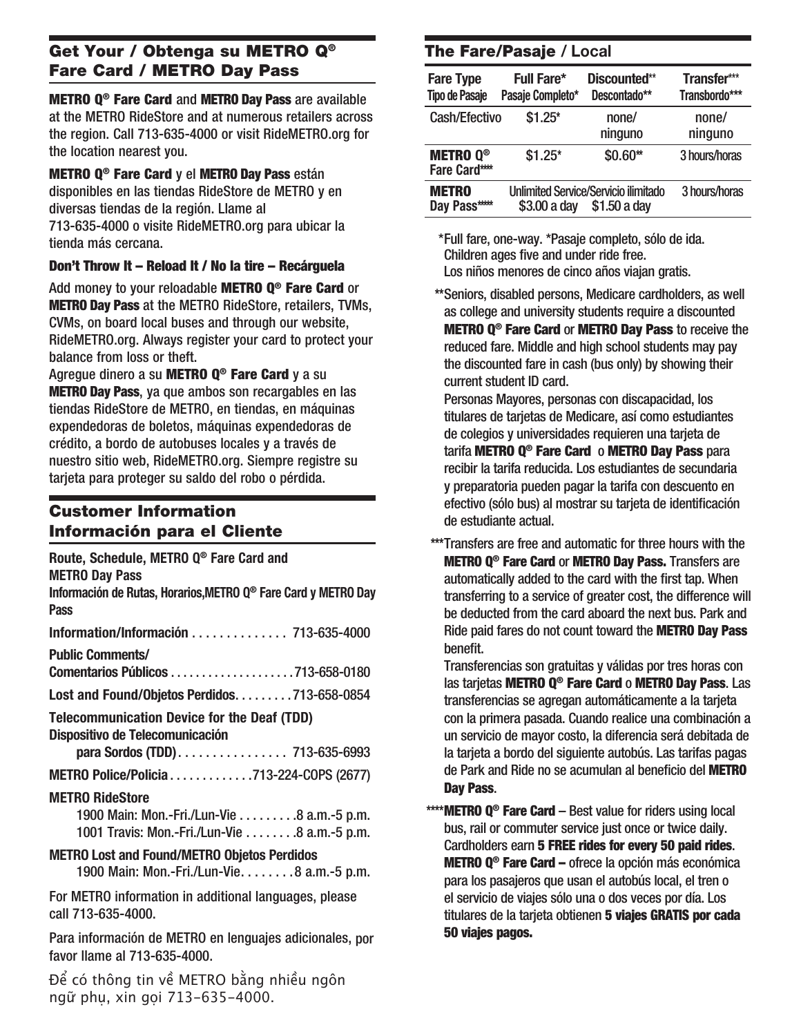# Get Your / Obtenga su METRO Q® Fare Card / METRO Day Pass

METRO Q® Fare Card and METRO Day Pass are available at the METRO RideStore and at numerous retailers across the region. Call 713-635-4000 or visit RideMETRO.org for the location nearest you.

METRO Q® Fare Card y el METRO Day Pass están disponibles en las tiendas RideStore de METRO y en diversas tiendas de la región. Llame al 713-635-4000 o visite RideMETRO.org para ubicar la tienda más cercana.

#### Don't Throw It – Reload It / No la tire – Recárguela

Add money to your reloadable METRO Q<sup>®</sup> Fare Card or METRO Day Pass at the METRO RideStore, retailers, TVMs, CVMs, on board local buses and through our website, RideMETRO.org. Always register your card to protect your balance from loss or theft.

Agregue dinero a su **METRO Q<sup>®</sup> Fare Card** y a su METRO Day Pass, ya que ambos son recargables en las tiendas RideStore de METRO, en tiendas, en máquinas expendedoras de boletos, máquinas expendedoras de crédito, a bordo de autobuses locales y a través de nuestro sitio web, RideMETRO.org. Siempre registre su tarjeta para proteger su saldo del robo o pérdida.

# Customer Information Información para el Cliente

| Route, Schedule, METRO Q <sup>®</sup> Fare Card and<br><b>METRO Day Pass</b><br>Información de Rutas, Horarios, METRO Q® Fare Card y METRO Day<br><b>Pass</b> |
|---------------------------------------------------------------------------------------------------------------------------------------------------------------|
| Information/Información  713-635-4000                                                                                                                         |
| <b>Public Comments/</b>                                                                                                                                       |
| Lost and Found/Objetos Perdidos. 713-658-0854                                                                                                                 |
| <b>Telecommunication Device for the Deaf (TDD)</b><br>Dispositivo de Telecomunicación<br>para Sordos (TDD) 713-635-6993                                       |
| METRO Police/Policia713-224-COPS (2677)                                                                                                                       |
| <b>METRO RideStore</b><br>1900 Main: Mon.-Fri./Lun-Vie 8 a.m.-5 p.m.<br>1001 Travis: Mon.-Fri./Lun-Vie 8 a.m.-5 p.m.                                          |
| <b>METRO Lost and Found/METRO Objetos Perdidos</b><br>1900 Main: Mon.-Fri./Lun-Vie. 8 a.m.-5 p.m.                                                             |
| For MFTRO information in additional languages, please                                                                                                         |

For METRO information in additional languages, please call 713-635-4000.

Para información de METRO en lenguajes adicionales, por favor llame al 713-635-4000.

Để có thông tin về METRO bằng nhiều ngôn ngữ phụ, xin gọi 713-635-4000.

# The Fare/Pasaje **/ Local**

| <b>Fare Type</b><br><b>Tipo de Pasaje</b>         | <b>Full Fare*</b><br>Pasaje Completo* | Discounted**<br>Descontado**                                | Transfer***<br>Transbordo*** |
|---------------------------------------------------|---------------------------------------|-------------------------------------------------------------|------------------------------|
| Cash/Efectivo                                     | $$1.25*$                              | none/<br>ninguno                                            | none/<br>ninguno             |
| <b>METRO Q<sup>®</sup></b><br><b>Fare Card***</b> | $$1.25*$                              | \$0.60**                                                    | 3 hours/horas                |
| <b>METRO</b><br>Day Pass****                      | \$3.00 a day                          | <b>Unlimited Service/Servicio ilimitado</b><br>\$1.50 a day | 3 hours/horas                |

\* Full fare, one-way. \*Pasaje completo, sólo de ida. Children ages five and under ride free. Los niños menores de cinco años viajan gratis.

**\*\***Seniors, disabled persons, Medicare cardholders, as well as college and university students require a discounted METRO Q® Fare Card or METRO Day Pass to receive the reduced fare. Middle and high school students may pay the discounted fare in cash (bus only) by showing their current student ID card.

Personas Mayores, personas con discapacidad, los titulares de tarjetas de Medicare, así como estudiantes de colegios y universidades requieren una tarjeta de tarifa METRO Q® Fare Card o METRO Day Pass para recibir la tarifa reducida. Los estudiantes de secundaria y preparatoria pueden pagar la tarifa con descuento en efectivo (sólo bus) al mostrar su tarjeta de identificación de estudiante actual.

**\*\*\*** Transfers are free and automatic for three hours with the METRO Q® Fare Card or METRO Day Pass. Transfers are automatically added to the card with the first tap. When transferring to a service of greater cost, the difference will be deducted from the card aboard the next bus. Park and Ride paid fares do not count toward the METRO Day Pass benefit.

Transferencias son gratuitas y válidas por tres horas con las tarjetas METRO Q® Fare Card o METRO Day Pass. Las transferencias se agregan automáticamente a la tarjeta con la primera pasada. Cuando realice una combinación a un servicio de mayor costo, la diferencia será debitada de la tarjeta a bordo del siguiente autobús. Las tarifas pagas de Park and Ride no se acumulan al beneficio del METRO Day Pass.

**\*\*\*\*** METRO Q® Fare Card – Best value for riders using local bus, rail or commuter service just once or twice daily. Cardholders earn 5 FREE rides for every 50 paid rides. METRO Q® Fare Card – ofrece la opción más económica para los pasajeros que usan el autobús local, el tren o el servicio de viajes sólo una o dos veces por día. Los titulares de la tarieta obtienen 5 viaies GRATIS por cada 50 viajes pagos.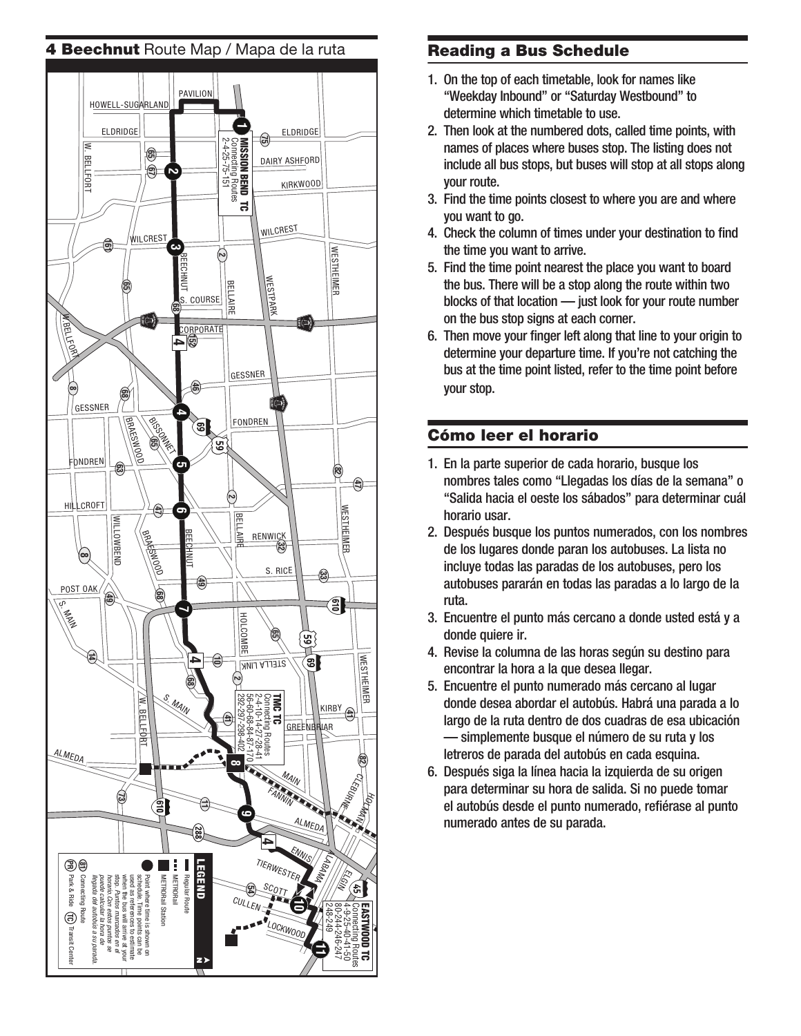#### 4 Beechnut Route Map / Mapa de la ruta Reading a Bus Schedule



- 1. On the top of each timetable, look for names like "Weekday Inbound" or "Saturday Westbound" to determine which timetable to use.
- 2. Then look at the numbered dots, called time points, with names of places where buses stop. The listing does not include all bus stops, but buses will stop at all stops along your route.
- 3. Find the time points closest to where you are and where you want to go.
- 4. Check the column of times under your destination to find the time you want to arrive.
- 5. Find the time point nearest the place you want to board the bus. There will be a stop along the route within two blocks of that location — just look for your route number on the bus stop signs at each corner.
- 6. Then move your finger left along that line to your origin to determine your departure time. If you're not catching the bus at the time point listed, refer to the time point before your stop.

# Cómo leer el horario

- 1. En la parte superior de cada horario, busque los nombres tales como "Llegadas los días de la semana" o "Salida hacia el oeste los sábados" para determinar cuál horario usar.
- 2. Después busque los puntos numerados, con los nombres de los lugares donde paran los autobuses. La lista no incluye todas las paradas de los autobuses, pero los autobuses pararán en todas las paradas a lo largo de la ruta.
- 3. Encuentre el punto más cercano a donde usted está y a donde quiere ir.
- 4. Revise la columna de las horas según su destino para encontrar la hora a la que desea llegar.
- 5. Encuentre el punto numerado más cercano al lugar donde desea abordar el autobús. Habrá una parada a lo largo de la ruta dentro de dos cuadras de esa ubicación — simplemente busque el número de su ruta y los letreros de parada del autobús en cada esquina.
- 6. Después siga la línea hacia la izquierda de su origen para determinar su hora de salida. Si no puede tomar el autobús desde el punto numerado, refiérase al punto numerado antes de su parada.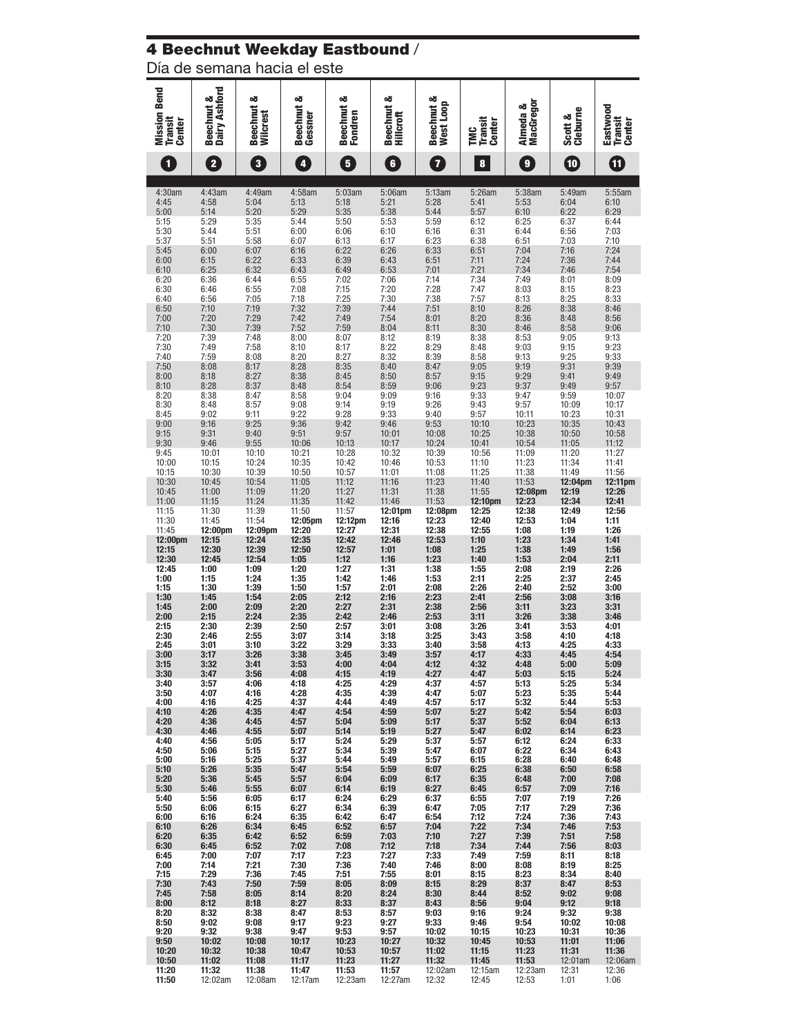#### 4 Beechnut Weekday Eastbound /

Día de semana hacia el este

|                                                 | ಂಕ                               | త                                  | య                       | න්                         | త                                   |                         |                               |                              |                     |                               |
|-------------------------------------------------|----------------------------------|------------------------------------|-------------------------|----------------------------|-------------------------------------|-------------------------|-------------------------------|------------------------------|---------------------|-------------------------------|
|                                                 |                                  |                                    |                         |                            |                                     |                         |                               |                              |                     |                               |
| <b>Mission Bend</b><br><b>Transit</b><br>Center | Dairy Ashford<br><b>Beechnut</b> | <b>Beechnut</b><br><b>Wilcrest</b> | Beechnut &<br>Gessner   | <b>Beechnut</b><br>Fondren | <b>Beechnut</b><br><b>Hillcroft</b> | Beechnut &<br>West Loop | <b>Transit</b><br>Center<br>Ĕ | <b>MacGregor</b><br>Almeda & | Scott &<br>Cleburne | Eastwood<br>Transit<br>Center |
| 1                                               | $\overline{\mathbf{2}}$          | $\overline{\mathbf{3}}$            | $\overline{\mathbf{4}}$ | $\overline{\mathbf{5}}$    | $\overline{\mathbf{6}}$             | 7                       | 8                             | $\mathbf{g}$                 | $\mathbf{10}$       | 0                             |
|                                                 |                                  |                                    |                         |                            |                                     |                         |                               |                              |                     |                               |
| 4:30am                                          | 4:43am                           | 4:49am                             | 4:58am                  | 5:03am                     | 5:06am                              | 5:13am                  | 5:26am                        | 5:38am                       | 5:49am              | 5:55am                        |
| 4:45                                            | 4:58                             | 5:04                               | 5:13                    | 5:18                       | 5:21                                | 5:28                    | 5:41                          | 5:53                         | 6:04                | 6:10                          |
| 5:00                                            | 5:14                             | 5:20                               | 5:29                    | 5:35                       | 5:38                                | 5:44                    | 5:57                          | 6:10                         | 6:22                | 6:29                          |
| 5:15                                            | 5:29                             | 5:35                               | 5:44                    | 5:50                       | 5:53                                | 5:59                    | 6:12                          | 6:25                         | 6:37                | 6:44                          |
| 5:30                                            | 5:44                             | 5:51                               | 6:00                    | 6:06                       | 6:10                                | 6:16                    | 6:31                          | 6:44                         | 6:56                | 7:03                          |
| 5:37                                            | 5:51                             | 5:58                               | 6:07                    |                            | 6:17                                | 6:23                    | 6:38                          | 6:51                         | 7:03                | 7:10                          |
| 5:45<br>6:00                                    | 6:00                             | 6:07                               | 6:16                    | 6:13<br>6:22               | 6:26                                | 6:33                    | 6:51                          | 7:04                         | 7:16                | 7:24                          |
| 6:10                                            | 6:15<br>6:25                     | 6:22<br>6:32                       | 6:33<br>6:43            | 6:39<br>6:49               | 6:43<br>6:53                        | 6:51<br>7:01            | 7:11<br>7:21                  | 7:24<br>7:34                 | 7:36<br>7:46        | 7:44<br>7:54                  |
| 6:20                                            | 6:36                             | 6:44                               | 6:55                    | 7:02                       | 7:06                                | 7:14                    | 7:34                          | 7:49                         | 8:01                | 8:09                          |
| 6:30                                            | 6:46                             | 6:55                               | 7:08                    | 7:15                       | 7:20                                | 7:28                    | 7:47                          | 8:03                         | 8:15                | 8:23                          |
| 6:40                                            | 6:56                             | 7:05                               | 7:18                    | 7:25                       | 7:30                                | 7:38                    | 7:57                          | 8:13                         | 8:25                | 8:33                          |
| 6:50                                            | 7:10                             | 7:19                               | 7:32                    | 7:39                       | 7:44                                | 7:51                    | 8:10                          | 8:26                         | 8:38                | 8:46                          |
| 7:00                                            | 7:20                             | 7:29                               | 7:42                    | 7:49                       | 7:54                                | 8:01                    | 8:20                          | 8:36                         | 8:48                | 8:56                          |
| 7:10                                            | 7:30                             | 7:39                               | 7:52                    | 7:59                       | 8:04                                | 8:11                    | 8:30                          | 8:46                         | 8:58                | 9:06                          |
| 7:20                                            | 7:39                             | 7:48                               | 8:00                    | 8:07                       | 8:12                                | 8:19                    | 8:38                          | 8:53                         | 9:05                | 9:13                          |
| 7:30                                            | 7:49                             | 7:58                               | 8:10                    | 8:17                       | 8:22                                | 8:29                    | 8:48                          | 9:03                         | 9:15                | 9:23                          |
| 7:40                                            | 7:59                             | 8:08                               | 8:20                    | 8:27                       | 8:32                                | 8:39                    | 8:58                          | 9:13                         | 9:25                | 9:33                          |
| 7:50                                            | 8:08                             | 8:17                               | 8:28                    | 8:35                       | 8:40                                | 8:47                    | 9:05                          | 9:19                         | 9:31                | 9:39                          |
| 8:00                                            | 8:18                             | 8:27                               | 8:38                    | 8:45                       | 8:50                                | 8:57                    | 9:15                          | 9:29                         | 9:41                | 9:49                          |
| 8:10                                            | 8:28                             | 8:37                               | 8:48                    | 8:54                       | 8:59                                | 9:06                    | 9:23                          | 9:37                         | 9:49                | 9:57                          |
| 8:20                                            | 8:38                             | 8:47                               | 8:58                    | 9:04                       | 9:09                                | 9:16                    | 9:33                          | 9:47                         | 9:59                | 10:07                         |
| 8:30                                            | 8:48                             | 8:57                               | 9:08                    | 9:14                       | 9:19                                | 9:26                    | 9:43                          | 9:57                         | 10:09               | 10:17                         |
| 8:45                                            | 9:02                             | 9:11                               | 9:22                    | 9:28                       | 9:33                                | 9:40                    | 9:57                          | 10:11                        | 10:23               | 10:31                         |
| 9:00                                            | 9:16                             | 9:25                               | 9:36                    | 9:42                       | 9:46                                | 9:53                    | 10:10                         | 10:23                        | 10:35               | 10:43                         |
| 9:15                                            | 9:31                             | 9:40                               | 9:51                    | 9:57                       | 10:01                               | 10:08                   | 10:25                         | 10:38                        | 10:50               | 10:58                         |
| 9:30                                            | 9:46                             | 9:55                               | 10:06                   | 10:13                      | 10:17                               | 10:24                   | 10:41                         | 10:54                        | 11:05               | 11:12                         |
| 9:45                                            | 10:01                            | 10:10                              | 10:21                   | 10:28                      | 10:32                               | 10:39                   | 10:56                         | 11:09                        | 11:20               | 11:27                         |
| 10:00                                           | 10:15                            | 10:24                              | 10:35                   | 10:42                      | 10:46                               | 10:53                   | 11:10                         | 11:23                        | 11:34               | 11:41                         |
| 10:15                                           | 10:30                            | 10:39                              | 10:50                   | 10:57                      | 11:01                               | 11:08                   | 11:25                         | 11:38                        | 11:49               | 11:56                         |
| 10:30                                           | 10:45                            | 10:54                              | 11:05                   | 11:12                      | 11:16                               | 11:23                   | 11:40                         | 11:53                        | 12:04pm             | 12:11pm                       |
| 10:45                                           | 11:00                            | 11:09                              | 11:20                   | 11:27                      | 11:31                               | 11:38                   | 11:55                         | 12:08pm                      | 12:19               | 12:26                         |
| 11:00                                           | 11:15                            | 11:24                              | 11:35                   | 11:42                      | 11:46                               | 11:53                   | 12:10pm                       | 12:23                        | 12:34               | 12:41                         |
| 11:15                                           | 11:30                            | 11:39                              | 11:50                   | 11:57                      | $12:01$ pm                          | 12:08pm                 | 12:25                         | 12:38                        | 12:49               | 12:56                         |
| 11:30                                           | 11:45                            | 11:54<br>12:09pm                   | 12:05pm<br>12:20        | 12:12pm                    | 12:16                               | 12:23<br>12:38          | 12:40                         | 12:53<br>1:08                | 1:04<br>1:19        | 1:11                          |
| 11:45<br>12:00pm                                | 12:00pm<br>12:15                 | 12:24                              | 12:35                   | 12:27<br>12:42             | 12:31<br>12:46                      | 12:53                   | 12:55<br>1:10                 | 1:23                         | 1:34                | 1:26<br>1:41                  |
| 12:15                                           | 12:30                            | 12:39                              | 12:50                   | 12:57                      | 1:01                                | 1:08                    | 1:25                          | 1:38                         | 1:49                | 1:56                          |
| 12:30                                           | 12:45                            | 12:54                              | 1:05                    | 1:12                       | 1:16                                | 1:23                    | 1:40                          | 1:53                         | 2:04                | 2:11                          |
| 12:45                                           | 1:00                             | 1:09                               | 1:20                    | 1:27                       | 1:31                                | 1:38                    | 1:55                          | 2:08                         | 2:19                | 2:26                          |
| 1:00                                            | 1:15                             | 1:24                               | 1:35                    | 1:42                       | 1:46                                | 1:53                    | 2:11                          | 2:25                         | 2:37                | 2:45                          |
| 1:15                                            | 1:30                             | 1:39                               | 1:50                    | 1:57                       | 2:01                                | 2:08                    | 2:26                          | 2:40                         | 2:52                | 3:00                          |
| 1:30                                            | 1:45                             | 1:54                               | 2:05                    | 2:12                       | 2:16                                | 2:23                    | 2:41                          | 2:56                         | 3:08                | 3:16                          |
| 1:45                                            | 2:00                             | 2:09                               | 2:20                    | 2:27                       | 2:31                                | 2:38                    | 2:56                          | 3:11                         | 3:23                | 3:31                          |
| 2:00                                            | 2:15                             | 2:24                               | 2:35                    | 2:42                       | 2:46                                | 2:53                    | 3:11                          | 3:26                         | 3:38                | 3:46                          |
| 2:15                                            | 2:30                             | 2:39                               | 2:50                    | 2:57                       | 3:01                                | 3:08                    | 3:26                          | 3:41                         | 3:53                | 4:01                          |
| 2:30                                            | 2:46                             | 2:55                               | 3:07                    | 3:14                       | 3:18                                | 3:25                    | 3:43                          | 3:58                         | 4:10                | 4:18                          |
| 2:45                                            | 3:01                             | 3:10                               | 3:22                    | 3:29                       | 3:33                                | 3:40                    | 3:58                          | 4:13                         | 4:25                | 4:33                          |
| 3:00                                            | 3:17                             | 3:26                               | 3:38                    | 3:45                       | 3:49                                | 3:57                    | 4:17                          | 4:33                         | 4:45                | 4:54                          |
| 3:15                                            | 3:32                             | 3:41                               | 3:53                    | 4:00                       | 4:04                                | 4:12                    | 4:32                          | 4:48                         | 5:00                | 5:09                          |
| 3:30                                            | 3:47                             | 3:56                               | 4:08                    | 4:15                       | 4:19                                | 4:27                    | 4:47                          | 5:03                         | 5:15                | 5:24                          |
| 3:40                                            | 3:57                             | 4:06                               | 4:18                    | 4:25                       | 4:29                                | 4:37                    | 4:57                          | 5:13                         | 5:25                | 5:34                          |
| 3:50                                            | 4:07                             | 4:16                               | 4:28                    | 4:35                       | 4:39                                | 4:47                    | 5:07                          | 5:23                         | 5:35                | 5:44                          |
| 4:00                                            | 4:16                             | 4:25                               | 4:37                    | 4:44                       | 4:49                                | 4:57                    | 5:17                          | 5:32                         | 5:44                | 5:53                          |
| 4:10                                            | 4:26                             | 4:35                               | 4:47                    | 4:54                       | 4:59                                | 5:07                    | 5:27                          | 5:42                         | 5:54                | 6:03                          |
| 4:20                                            | 4:36                             | 4:45                               | 4:57                    | 5:04                       | 5:09                                | 5:17                    | 5:37                          | 5:52                         | 6:04                | 6:13                          |
| 4:30                                            | 4:46                             | 4:55                               | 5:07                    | 5:14                       | 5:19                                | 5:27                    | 5:47                          | 6:02                         | 6:14                | 6:23                          |
| 4:40                                            | 4:56                             | 5:05                               | 5:17                    | 5:24                       | 5:29                                | 5:37                    | 5:57                          | 6:12                         | 6:24                | 6:33                          |
| 4:50                                            | 5:06                             | 5:15                               | 5:27                    | 5:34                       | 5:39                                | 5:47                    | 6:07                          | 6:22                         | 6:34                | 6:43                          |
| 5:00                                            | 5:16                             | 5:25                               | 5:37                    | 5:44                       | 5:49                                | 5:57                    | 6:15                          | 6:28                         | 6:40                | 6:48                          |
| 5:10                                            | 5:26                             | 5:35                               | 5:47                    | 5:54                       | 5:59                                | 6:07                    | 6:25                          | 6:38                         | 6:50                | 6:58                          |
| 5:20                                            | 5:36                             | 5:45                               | 5:57                    | 6:04                       | 6:09                                | 6:17                    | 6:35                          | 6:48                         | 7:00                | 7:08                          |
| 5:30                                            | 5:46                             | 5:55                               | 6:07                    | 6:14                       | 6:19                                | 6:27                    | 6:45                          | 6:57                         | 7:09                | 7:16                          |
| 5:40                                            | 5:56                             | 6:05                               | 6:17                    | 6:24                       | 6:29                                | 6:37                    | 6:55                          | 7:07                         | 7:19                | 7:26                          |
| 5:50                                            | 6:06                             | 6:15                               | 6:27                    | 6:34                       | 6:39                                | 6:47                    | 7:05                          | 7:17                         | 7:29                | 7:36                          |
| 6:00                                            | 6:16                             | 6:24                               | 6:35                    | 6:42                       | 6:47                                | 6:54                    | 7:12                          | 7:24                         | 7:36                | 7:43                          |
| 6:10                                            | 6:26                             | 6:34                               | 6:45                    | 6:52                       | 6:57                                | 7:04                    | 7:22                          | 7:34                         | 7:46                | 7:53                          |
| 6:20                                            | 6:35                             | 6:42                               | 6:52                    | 6:59                       | 7:03                                | 7:10                    | 7:27                          | 7:39                         | 7:51                | 7:58                          |
| 6:30                                            | 6:45                             | 6:52                               | 7:02                    | 7:08                       | 7:12                                | 7:18                    | 7:34                          | 7:44                         | 7:56                | 8:03                          |
| 6:45                                            | 7:00                             | 7:07                               | 7:17                    | 7:23                       | 7:27                                | 7:33                    | 7:49                          | 7:59                         | 8:11                | 8:18                          |
| 7:00                                            | 7:14                             | 7:21                               | 7:30                    | 7:36                       | 7:40                                | 7:46                    | 8:00                          | 8:08                         | 8:19                | 8:25                          |
| 7:15                                            | 7:29                             | 7:36                               | 7:45                    | 7:51                       | 7:55                                | 8:01                    | 8:15                          | 8:23                         | 8:34                | 8:40                          |
| 7:30                                            | 7:43                             | 7:50                               | 7:59                    | 8:05                       | 8:09                                | 8:15                    | 8:29                          | 8:37                         | 8:47                | 8:53                          |
| 7:45                                            | 7:58                             | 8:05                               | 8:14                    | 8:20                       | 8:24                                | 8:30                    | 8:44                          | 8:52                         | 9:02                | 9:08                          |
| 8:00                                            | 8:12                             | 8:18                               | 8:27                    | 8:33                       | 8:37                                | 8:43                    | 8:56                          | 9:04                         | 9:12                | 9:18                          |
| 8:20                                            | 8:32                             | 8:38                               | 8:47                    | 8:53                       | 8:57                                | 9:03                    | 9:16                          | 9:24                         | 9:32                | 9:38                          |
| 8:50                                            | 9:02                             | 9:08                               | 9:17                    | 9:23                       | 9:27                                | 9:33                    | 9:46                          | 9:54                         | 10:02               | 10:08                         |
| 9:20                                            | 9:32                             | 9:38                               | 9:47                    | 9:53                       | 9:57                                | 10:02                   | 10:15                         | 10:23                        | 10:31               | 10:36                         |
| 9:50                                            | 10:02                            | 10:08                              | 10:17                   | 10:23                      | 10:27                               | 10:32                   | 10:45                         | 10:53                        | 11:01               | 11:06                         |
| 10:20                                           | 10:32                            | 10:38                              | 10:47                   | 10:53                      | 10:57                               | 11:02                   | 11:15                         | 11:23                        | 11:31               | 11:36                         |
| 10:50                                           | 11:02                            | 11:08                              | 11:17                   | 11:23                      | 11:27                               | 11:32                   | 11:45                         | 11:53                        | 12:01am             | 12:06am                       |
| 11:20                                           | 11:32                            | 11:38                              | 11:47                   | 11:53                      | 11:57                               | 12:02am                 | 12:15am                       | 12:23am                      | 12:31               | 12:36                         |
| 11:50                                           | 12:02am                          | 12:08am                            | 12:17am                 | 12:23am                    | 12:27am                             | 12:32                   | 12:45                         | 12:53                        | 1:01                | 1:06                          |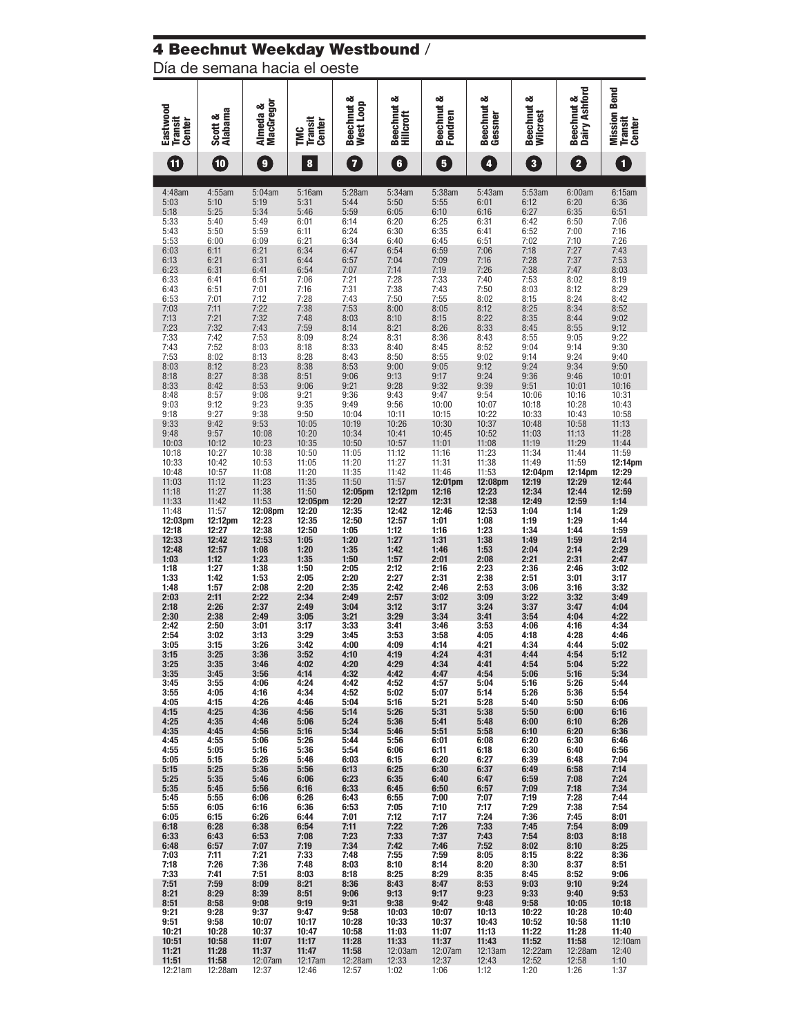# 4 Beechnut Weekday Westbound /

Día de semana hacia el oeste

| Eastwood<br><b>Transit</b><br><b>Center</b> | <b>Alabama</b><br>య<br>Scott | MacGregor<br>Almeda &   | <b>Transit</b><br>Center<br><b>ENC</b> | Beechnut &<br>West Loop   | Beechnut &<br><b>Hillcroft</b> | Beechnut &<br>Fondren     | Beechnut &<br>Gessner     | Beechnut &<br>Wilcrest    | Dairy Ashford<br>Beechnut & | Bend<br>Mission<br><b>Transit</b><br><b>Center</b> |
|---------------------------------------------|------------------------------|-------------------------|----------------------------------------|---------------------------|--------------------------------|---------------------------|---------------------------|---------------------------|-----------------------------|----------------------------------------------------|
| Œ                                           | $\boldsymbol{\omega}$        | $\mathbf{g}$            | 8                                      | 7                         | $\mathbf{6}$                   | 5                         | $\sqrt{4}$                | $\overline{\mathbf{3}}$   | $\overline{\mathbf{2}}$     | $\overline{\mathbf{1}}$                            |
| 4:48am                                      | 4:55am                       | 5:04am                  | 5:16am                                 | 5:28am                    | 5:34am                         | 5:38am                    | 5:43am                    | 5:53am                    | 6:00am                      | 6:15am                                             |
| 5:03                                        | 5:10                         | 5:19                    | 5:31                                   | 5:44                      | 5:50                           | 5:55                      | 6:01                      | 6:12                      | 6:20                        | 6:36                                               |
| 5:18                                        | 5:25                         | 5:34                    | 5:46                                   | 5:59                      | 6:05                           | 6:10                      | 6:16                      | 6:27                      | 6:35                        | 6:51                                               |
| 5:33                                        | 5:40                         | 5:49                    | 6:01                                   | 6:14                      | 6:20                           | 6:25                      | 6:31                      | 6:42                      | 6:50                        | 7:06                                               |
| 5:43                                        | 5:50                         | 5:59                    | 6:11                                   | 6:24                      | 6:30                           | 6:35                      | 6:41                      | 6:52                      | 7:00                        | 7:16                                               |
| 5:53                                        | 6:00                         | 6:09                    | 6:21                                   | 6:34                      | 6:40                           | 6:45                      | 6:51                      | 7:02                      | 7:10                        | 7:26                                               |
| 6:03                                        | 6:11                         | 6:21                    | 6:34                                   | 6:47                      | 6:54                           | 6:59                      | 7:06                      | 7:18                      | 7:27                        | 7:43                                               |
| 6:13                                        | 6:21                         | 6:31                    | 6:44                                   | 6:57                      | 7:04                           | 7:09                      | 7:16                      | 7:28                      | 7:37                        | 7:53                                               |
| 6:23                                        | 6:31                         | 6:41                    | 6:54                                   | 7:07                      | 7:14                           | 7:19                      | 7:26                      | 7:38                      | 7:47                        | 8:03                                               |
| 6:33                                        | 6:41                         | 6:51                    | 7:06                                   | 7:21                      | 7:28                           | 7:33                      | 7:40                      | 7:53                      | 8:02                        | 8:19                                               |
| 6:43                                        | 6:51                         | 7:01                    | 7:16                                   | 7:31                      | 7:38                           | 7:43                      | 7:50                      | 8:03                      | 8:12                        | 8:29                                               |
| 6:53                                        | 7:01                         | 7:12                    | 7:28                                   | 7:43                      | 7:50                           | 7:55                      | 8:02                      | 8:15                      | 8:24                        | 8:42                                               |
| 7:03                                        | 7:11                         | 7:22                    | 7:38                                   | 7:53                      | 8:00                           | 8:05                      | 8:12                      | 8:25                      | 8:34                        | 8:52                                               |
| 7:13                                        | 7:21                         | 7:32                    | 7:48                                   | 8:03                      | 8:10                           | 8:15                      | 8:22                      | 8:35                      | 8:44                        | 9:02                                               |
| 7:23                                        | 7:32                         | 7:43                    | 7:59                                   | 8:14                      | 8:21                           | 8:26                      | 8:33                      | 8:45                      | 8:55                        | 9:12                                               |
| 7:33                                        | 7:42                         | 7:53                    | 8:09                                   | 8:24                      | 8:31                           | 8:36                      | 8:43                      | 8:55                      | 9:05                        | 9:22                                               |
| 7:43                                        | 7:52                         | 8:03                    | 8:18                                   | 8:33                      | 8:40                           | 8:45                      | 8:52                      | 9:04                      | 9:14                        | 9:30                                               |
| 7:53                                        | 8:02                         | 8:13                    | 8:28                                   | 8:43                      | 8:50                           | 8:55                      | 9:02                      | 9:14                      | 9:24                        | 9:40                                               |
| 8:03                                        | 8:12                         | 8:23                    | 8:38                                   | 8:53                      | 9:00                           | 9:05                      | 9:12                      | 9:24                      | 9:34                        | 9:50                                               |
| 8:18                                        | 8:27                         | 8:38                    | 8:51                                   | 9:06                      | 9:13                           | 9:17                      | 9:24                      | 9:36                      | 9:46                        | 10:01                                              |
| 8:33<br>8:48<br>9:03                        | 8:42<br>8:57                 | 8:53<br>9:08<br>9:23    | 9:06<br>9:21<br>9:35                   | 9:21<br>9:36<br>9:49      | 9:28<br>9:43                   | 9:32<br>9:47<br>10:00     | 9:39<br>9:54              | 9:51<br>10:06<br>10:18    | 10:01<br>10:16<br>10:28     | 10:16<br>10:31<br>10:43                            |
| 9:18<br>9:33                                | 9:12<br>9:27<br>9:42         | 9:38<br>9:53            | 9:50<br>10:05                          | 10:04<br>10:19            | 9:56<br>10:11<br>10:26         | 10:15<br>10:30            | 10:07<br>10:22<br>10:37   | 10:33<br>10:48            | 10:43<br>10:58              | 10:58<br>11:13                                     |
| 9:48                                        | 9:57                         | 10:08                   | 10:20                                  | 10:34                     | 10:41                          | 10:45                     | 10:52                     | 11:03                     | 11:13                       | 11:28                                              |
| 10:03                                       | 10:12                        | 10:23                   | 10:35                                  | 10:50                     | 10:57                          | 11:01                     | 11:08                     | 11:19                     | 11:29                       | 11:44                                              |
| 10:18                                       | 10:27                        | 10:38                   | 10:50                                  | 11:05                     | 11:12                          | 11:16                     | 11:23                     | 11:34                     | 11:44                       | 11:59                                              |
| 10:33                                       | 10:42                        | 10:53                   | 11:05                                  | 11:20                     | 11:27                          | 11:31                     | 11:38                     | 11:49                     | 11:59                       | $12:14 \text{pm}$<br>12:29                         |
| 10:48<br>11:03<br>11:18                     | 10:57<br>11:12<br>11:27      | 11:08<br>11:23<br>11:38 | 11:20<br>11:35<br>11:50                | 11:35<br>11:50<br>12:05pm | 11:42<br>11:57<br>12:12pm      | 11:46<br>12:01pm<br>12:16 | 11:53<br>12:08pm<br>12:23 | 12:04pm<br>12:19<br>12:34 | 12:14pm<br>12:29<br>12:44   | 12:44<br>12:59                                     |
| 11:33                                       | 11:42                        | 11:53                   | 12:05pm                                | 12:20                     | 12:27                          | 12:31                     | 12:38                     | 12:49                     | 12:59                       | 1:14                                               |
| 11:48                                       | 11:57                        | 12:08pm                 | 12:20                                  | 12:35                     | 12:42                          | 12:46                     | 12:53                     | 1:04                      | 1:14                        | 1:29                                               |
| 12:03pm                                     | 12:12pm                      | 12:23                   | 12:35                                  | 12:50                     | 12:57                          | 1:01                      | 1:08                      | 1:19                      | 1:29                        | 1:44                                               |
| 12:18                                       | 12:27                        | 12:38                   | 12:50                                  | 1:05                      | 1:12                           | 1:16                      | 1:23                      | 1:34                      | 1:44                        | 1:59                                               |
| 12:33<br>12:48<br>1:03                      | 12:42<br>12:57               | 12:53<br>1:08<br>1:23   | 1:05<br>1:20<br>1:35                   | 1:20<br>1:35<br>1:50      | 1:27<br>1:42                   | 1:31<br>1:46<br>2:01      | 1:38<br>1:53<br>2:08      | 1:49<br>2:04<br>2:21      | 1:59<br>2:14<br>2:31        | 2:14<br>2:29<br>2:47                               |
| 1:18<br>1:33                                | 1:12<br>1:27<br>1:42         | 1:38<br>1:53            | 1:50<br>2:05                           | 2:05<br>2:20              | 1:57<br>2:12<br>2:27           | 2:16<br>2:31              | 2:23<br>2:38              | 2:36<br>2:51              | 2:46<br>3:01                | 3:02<br>3:17                                       |
| 1:48                                        | 1:57                         | 2:08                    | 2:20                                   | 2:35                      | 2:42                           | 2:46                      | 2:53                      | 3:06                      | 3:16                        | 3:32                                               |
| 2:03                                        | 2:11                         | 2:22                    | 2:34                                   | 2:49                      | 2:57                           | 3:02                      | 3:09                      | 3:22                      | 3:32                        | 3:49                                               |
| 2:18                                        | 2:26                         | 2:37                    | 2:49                                   | 3:04                      | 3:12                           | 3:17                      | 3:24                      | 3:37                      | 3:47                        | 4:04                                               |
| 2:30                                        | 2:38                         | 2:49                    | 3:05                                   | 3:21                      | 3:29                           | 3:34                      | 3:41                      | 3:54                      | 4:04                        | 4:22                                               |
| 2:42                                        | 2:50                         | 3:01                    | 3:17                                   | 3:33                      | 3:41                           | 3:46                      | 3:53                      | 4:06                      | 4:16                        | 4:34                                               |
| 2:54                                        | 3:02                         | 3:13                    | 3:29                                   | 3:45                      | 3:53                           | 3:58                      | 4:05                      | 4:18                      | 4:28                        | 4:46                                               |
| 3:05                                        | 3:15                         | 3:26                    | 3:42                                   | 4:00                      | 4:09                           | 4:14                      | 4:21                      | 4:34                      | 4:44                        | 5:02                                               |
| 3:15                                        | 3:25                         | 3:36                    | 3:52                                   | 4:10                      | 4:19                           | 4:24                      | 4:31                      | 4:44                      | 4:54                        | 5:12                                               |
| 3:25                                        | 3:35                         | 3:46                    | 4:02                                   | 4:20                      | 4:29                           | 4:34                      | 4:41                      | 4:54                      | 5:04                        | 5:22                                               |
| 3:35                                        | 3:45                         | 3:56                    | 4:14                                   | 4:32                      | 4:42                           | 4:47                      | 4:54                      | 5:06                      | 5:16                        | 5:34                                               |
| 3:45                                        | 3:55                         | 4:06                    | 4:24                                   | 4:42                      | 4:52                           | 4:57                      | 5:04                      | 5:16                      | 5:26                        | 5:44                                               |
| 3:55                                        | 4:05                         | 4:16                    | 4:34                                   | 4:52                      | 5:02                           | 5:07                      | 5:14                      | 5:26                      | 5:36                        | 5:54                                               |
| 4:05                                        | 4:15                         | 4:26                    | 4:46                                   | 5:04                      | 5:16                           | 5:21                      | 5:28                      | 5:40                      | 5:50                        | 6:06                                               |
| 4:15                                        | 4:25                         | 4:36                    | 4:56                                   | 5:14                      | 5:26                           | 5:31                      | 5:38                      | 5:50                      | 6:00                        | 6:16                                               |
| 4:25                                        | 4:35                         | 4:46                    | 5:06                                   | 5:24                      | 5:36                           | 5:41                      | 5:48                      | 6:00                      | 6:10                        | 6:26                                               |
| 4:35                                        | 4:45                         | 4:56                    | 5:16                                   | 5:34                      | 5:46                           | 5:51                      | 5:58                      | 6:10                      | 6:20                        | 6:36                                               |
| 4:45                                        | 4:55                         | 5:06                    | 5:26                                   | 5:44                      | 5:56                           | 6:01                      | 6:08                      | 6:20                      | 6:30                        | 6:46                                               |
| 4:55                                        | 5:05                         | 5:16                    | 5:36                                   | 5:54                      | 6:06                           | 6:11                      | 6:18                      | 6:30                      | 6:40                        | 6:56                                               |
| 5:05                                        | 5:15                         | 5:26                    | 5:46                                   | 6:03                      | 6:15                           | 6:20                      | 6:27                      | 6:39                      | 6:48                        | 7:04                                               |
| 5:15                                        | 5:25                         | 5:36                    | 5:56                                   | 6:13                      | 6:25                           | 6:30                      | 6:37                      | 6:49                      | 6:58                        | 7:14                                               |
| 5:25                                        | 5:35                         | 5:46                    | 6:06                                   | 6:23                      | 6:35                           | 6:40                      | 6:47                      | 6:59                      | 7:08                        | 7:24                                               |
| 5:35                                        | 5:45                         | 5:56                    | 6:16                                   | 6:33                      | 6:45                           | 6:50                      | 6:57                      | 7:09                      | 7:18                        | 7:34                                               |
| 5:45                                        | 5:55                         | 6:06                    | 6:26                                   | 6:43                      | 6:55                           | 7:00                      | 7:07                      | 7:19                      | 7:28                        | 7:44                                               |
| 5:55                                        | 6:05                         | 6:16                    | 6:36                                   | 6:53                      | 7:05                           | 7:10                      | 7:17                      | 7:29                      | 7:38                        | 7:54                                               |
| 6:05                                        | 6:15                         | 6:26                    | 6:44                                   | 7:01                      | 7:12                           | 7:17                      | 7:24                      | 7:36                      | 7:45                        | 8:01                                               |
| 6:18                                        | 6:28                         | 6:38                    | 6:54                                   | 7:11                      | 7:22                           | 7:26                      | 7:33                      | 7:45                      | 7:54                        | 8:09                                               |
| 6:33                                        | 6:43                         | 6:53                    | 7:08                                   | 7:23                      | 7:33                           | 7:37                      | 7:43                      | 7:54                      | 8:03                        | 8:18                                               |
| 6:48                                        | 6:57                         | 7:07                    | 7:19                                   | 7:34                      | 7:42                           | 7:46                      | 7:52                      | 8:02                      | 8:10                        | 8:25                                               |
| 7:03                                        | 7:11                         | 7:21                    | 7:33                                   | 7:48                      | 7:55                           | 7:59                      | 8:05                      | 8:15                      | 8:22                        | 8:36                                               |
| 7:18                                        | 7:26                         | 7:36                    | 7:48                                   | 8:03                      | 8:10                           | 8:14                      | 8:20                      | 8:30                      | 8:37                        | 8:51                                               |
| 7:33                                        | 7:41                         | 7:51                    | 8:03                                   | 8:18                      | 8:25                           | 8:29                      | 8:35                      | 8:45                      | 8:52                        | 9:06                                               |
| 7:51                                        | 7:59                         | 8:09                    | 8:21                                   | 8:36                      | 8:43                           | 8:47                      | 8:53                      | 9:03                      | 9:10                        | 9:24                                               |
| 8:21                                        | 8:29                         | 8:39                    | 8:51                                   | 9:06                      | 9:13                           | 9:17                      | 9:23                      | 9:33                      | 9:40                        | 9:53                                               |
| 8:51                                        | 8:58                         | 9:08                    | 9:19                                   | 9:31                      | 9:38                           | 9:42                      | 9:48                      | 9:58                      | 10:05                       | 10:18                                              |
| 9:21                                        | 9:28                         | 9:37                    | 9:47                                   | 9:58                      | 10:03                          | 10:07                     | 10:13                     | 10:22                     | 10:28                       | 10:40                                              |
| 9:51                                        | 9:58                         | 10:07                   | 10:17                                  | 10:28                     | 10:33                          | 10:37                     | 10:43                     | 10:52                     | 10:58                       | 11:10                                              |
| 10:21                                       | 10:28                        | 10:37                   | 10:47                                  | 10:58                     | 11:03                          | 11:07                     | 11:13                     | 11:22                     | 11:28                       | 11:40                                              |
| 10:51                                       | 10:58                        | 11:07                   | 11:17                                  | 11:28                     | 11:33                          | 11:37                     | 11:43                     | 11:52                     | 11:58                       | 12:10am                                            |
| 11:21                                       | 11:28                        | 11:37                   | 11:47                                  | 11:58                     | 12:03am                        | 12:07am                   | 12:13am                   | 12:22am                   | 12:28am                     | 12:40                                              |
| 11:51                                       | 11:58                        | 12:07am                 | 12:17am                                | 12:28am                   | 12:33                          | 12:37                     | 12:43                     | 12:52                     | 12:58                       | 1:10                                               |
| 12:21am                                     | 12:28am                      | 12:37                   | 12:46                                  | 12:57                     | 1:02                           | 1:06                      | 1:12                      | 1:20                      | 1:26                        | 1:37                                               |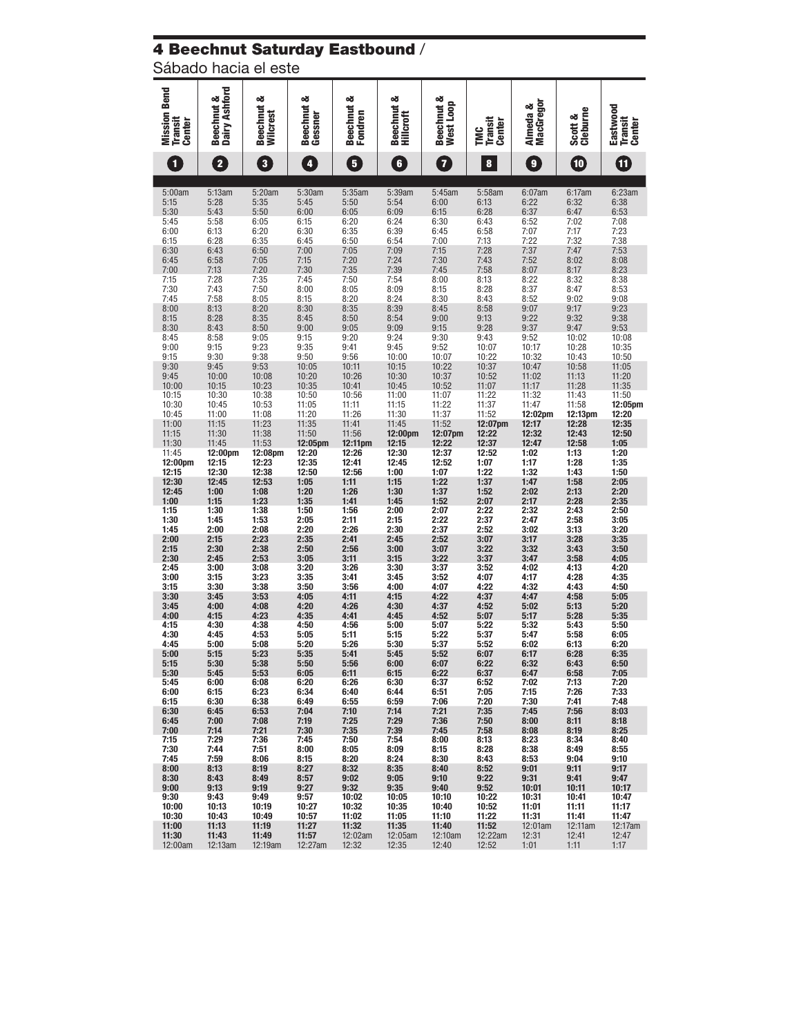# 4 Beechnut Saturday Eastbound /

Sábado hacia el este

| <b>Mission Bend</b><br><b>Transit</b><br><b>Center</b> | <b>Beechnut &amp;<br/>Dairy Ashford</b> | Beechnut &<br>Wilcrest               | Beechnut &<br>Gessner     | య<br><b>Beechnut</b><br>Fondren    | Beechnut &<br>Hillcroft   | Beechnut &<br>West Loop     | <b>Transit</b><br>Center<br>Ĕ | MacGregor<br>Almeda &                                                         | Scott &<br>Cleburne             | Eastwood<br><b>Transit</b><br><b>Center</b> |
|--------------------------------------------------------|-----------------------------------------|--------------------------------------|---------------------------|------------------------------------|---------------------------|-----------------------------|-------------------------------|-------------------------------------------------------------------------------|---------------------------------|---------------------------------------------|
| $\mathbf{1}$                                           | $\overline{\mathbf{2}}$                 | 3                                    | $\sqrt{4}$                | $\overline{\bf{5}}$                | $\overline{\mathbf{6}}$   | $\overline{\mathbf{7}}$     | 8                             | $\bullet$                                                                     | $\textcolor{red}{\blacksquare}$ | ɗ                                           |
| 5:00am<br>5:15<br>5:30                                 | 5:13am<br>5:28<br>5:43                  | 5:20am<br>5:35<br>5:50               | 5:30am<br>5:45<br>6:00    | 5:35am<br>5:50<br>6:05             | 5:39am<br>5:54<br>6:09    | 5:45am<br>6:00<br>6:15      | 5:58am<br>6:13<br>6:28        | 6:07am<br>6:22<br>6:37                                                        | 6:17am<br>6:32<br>6:47          | 6:23am<br>6:38<br>6:53                      |
| 5:45<br>6:00                                           | 5:58<br>6:13                            | 6:05<br>6:20                         | 6:15<br>6:30              | 6:20<br>6:35                       | 6:24<br>6:39              | 6:30<br>6:45                | 6:43<br>6:58                  | 6:52<br>7:07                                                                  | 7:02<br>7:17                    | 7:08<br>7:23                                |
| 6:15<br>6:30<br>6:45                                   | 6:28<br>6:43<br>6:58                    | 6:35<br>6:50<br>7:05                 | 6:45<br>7:00<br>7:15      | 6:50<br>7:05<br>7:20               | 6:54<br>7:09<br>7:24      | 7:00<br>7:15<br>7:30        | 7:13<br>7:28<br>7:43          | 7:22<br>7:37<br>7:52                                                          | 7:32<br>7:47<br>8:02            | 7:38<br>7:53<br>8:08                        |
| 7:00<br>7:15<br>7:30                                   | 7:13<br>7:28<br>7:43                    | 7:20<br>7:35<br>7:50                 | 7:30<br>7:45<br>8:00      | 7:35<br>7:50<br>8:05               | 7:39<br>7:54<br>8:09      | 7:45<br>8:00<br>8:15        | 7:58<br>8:13<br>8:28          | 8:07<br>8:22                                                                  | 8:17<br>8:32<br>8:47            | 8:23<br>8:38<br>8:53                        |
| 7:45<br>8:00                                           | 7:58<br>8:13<br>8:28                    | 8:05<br>8:20                         | 8:15<br>8:30<br>8:45      | 8:20<br>8:35<br>8:50               | 8:24<br>8:39              | 8:30<br>8:45<br>9:00        | 8:43<br>8:58                  | $8:37$<br>$8:52$<br>9:07                                                      | 9:02<br>9:17<br>9:32            | 9:08<br>9:23<br>9:38                        |
| 8:15<br>8:30<br>8:45                                   | 8:43<br>8:58                            | 8:35<br>8:50<br>9:05                 | 9:00<br>9:15              | 9:05<br>9:20                       | 8:54<br>9:09<br>9:24      | 9:15<br>9:30                | 9:13<br>9:28<br>9:43          | 9:22<br>9:37<br>9:52                                                          | 9:47<br>10:02                   | 9:53<br>10:08                               |
| 9:00<br>9:15<br>9:30                                   | 9:15<br>9:30<br>9:45                    | 9:23<br>9:38<br>9:53                 | 9:35<br>9:50<br>10:05     | 9:41<br>9:56<br>10:11              | 9:45<br>10:00<br>10:15    | 9:52<br>10:07<br>10:22      | 10:07<br>10:22<br>10:37       | 10:17<br>10:32<br>10:47                                                       | 10:28<br>10:43<br>10:58         | 10:35<br>10:50<br>11:05                     |
| 9:45<br>10:00<br>10:15                                 | 10:00<br>10:15<br>10:30                 | 10:08<br>10:23<br>10:38              | 10:20<br>10:35<br>10:50   | 10:26<br>10:41<br>10:56            | 10:30<br>10:45<br>11:00   | 10:37<br>10:52<br>11:07     | 10:52<br>11:07<br>11:22       | 11:02<br>11:17<br>11:32                                                       | 11:13<br>11:28<br>11:43         | 11:20<br>11:35<br>11:50                     |
| 10:30<br>10:45<br>11:00                                | 10:45<br>11:00<br>11:15                 | 10:53<br>11:08<br>11:23              | 11:05<br>11:20<br>11:35   | 11:11<br>11:26                     | 11:15<br>11:30<br>11:45   | 11:22<br>11:37<br>11:52     | 11:37<br>11:52<br>$12:07$ pm  | 11:47<br>12:02pm<br>12:17                                                     | 11:58<br>12:13pm<br>12:28       | 12:05pm<br>12:20<br>12:35                   |
| 11:15<br>11:30<br>11:45                                | 11:30<br>11:45<br>12:00pm               | 11:38<br>11:53<br>12:08pm            | 11:50<br>12:05pm<br>12:20 | 11:41<br>11:56<br>12:11pm<br>12:26 | 12:00pm<br>12:15<br>12:30 | 12:07pm<br>12:22<br>12:37   | 12:22<br>12:37<br>12:52       | 12:32<br>12:47<br>1:02                                                        | 12:43<br>12:58<br>1:13          | 12:50<br>1:05<br>1:20                       |
| 12:00pm<br>12:15                                       | 12:15<br>12:30<br>12:45                 | 12:23<br>12:38                       | 12:35<br>12:50            | 12:41<br>12:56<br>1:11             | 12:45<br>1:00             | 12:52<br>1:07               | 1:07<br>1:22                  | 1:17<br>1:32                                                                  | 1:28<br>1:43                    | 1:35<br>1:50                                |
| 12:30<br>12:45<br>1:00                                 | 1:00<br>1:15                            | 12:53<br>1:08<br>$\frac{1:23}{1:38}$ | 1:05<br>1:20<br>1:35      | 1:26<br>1:41                       | 1:15<br>1:30<br>1:45      | 1:22<br>1:37<br>1:52        | 1:37<br>1:52<br>2:07          | 1:47<br>2:02<br>$\begin{array}{c} \textbf{2:17} \\ \textbf{2:32} \end{array}$ | 1:58<br>2:13<br>2:28            | 2:05<br>2:20<br>2:35                        |
| 1:15<br>1:30<br>1:45                                   | 1:30<br>1:45<br>2:00                    | 1:53<br>2:08                         | 1:50<br>2:05<br>2:20      | 1:56<br>2:11<br>2:26               | 2:00<br>2:15<br>2:30      | 2:07<br>2:22<br>2:37        | 2:22<br>2:37<br>2:52          | 2:47<br>3:02                                                                  | 2:43<br>2:58<br>3:13            | 2:50<br>3:05<br>3:20                        |
| 2:00<br>2:15<br>2:30                                   | 2:15<br>2:30<br>2:45                    | 2:23<br>2:38<br>2:53                 | 2:35<br>2:50<br>3:05      | 2:41<br>2:56<br>3:11               | 2:45<br>3:00<br>3:15      | 2:52<br>3:07<br>3:22        | 3:07<br>3:22<br>3:37          | 3:17<br>3:32<br>3:47                                                          | 3:28<br>3:43<br>3:58            | 3:35<br>3:50<br>4:05                        |
| 2:45<br>3:00<br>3:15                                   | 3:00<br>3:15<br>3:30                    | 3:08<br>3:23<br>3:38                 | 3:20<br>3:35<br>3:50      | 3:26<br>3:41<br>3:56               | 3:30<br>3:45<br>4:00      | 3:37<br>3:52<br>4:07        | 3:52<br>4:07<br>4:22          | 4:02<br>4:17<br>4:32                                                          | 4:13<br>4:28<br>4:43            | 4:20<br>4:35<br>4:50                        |
| 3:30<br>3:45<br>4:00                                   | 3:45<br>4:00<br>4:15                    | 3:53<br>4:08<br>4:23                 | 4:05<br>4:20<br>4:35      | 4:11<br>4:26<br>4:41               | 4:15<br>4:30<br>4:45      | 4:22<br>4:37<br>4:52        | 4:37<br>4:52<br>5:07          | 4:47<br>5:02<br>5:17                                                          | 4:58<br>5:13<br>5:28            | 5:05<br>5:20<br>5:35                        |
| 4:15<br>4:30<br>4:45                                   | 4:30<br>4:45<br>5:00                    | 4:38<br>4:53<br>5:08                 | 4:50<br>5:05<br>5:20      | 4:56<br>5:11<br>5:26               | 5:00<br>5:15<br>5:30      | 5:07<br>5:22<br>5:37        | 5:22<br>5:37<br>5:52          | 5:32<br>5:47<br>6:02                                                          | 5:43<br>5:58<br>6:13            | 5:50<br>6:05<br>6:20                        |
| 5:00<br>5:15<br>5:30                                   | 5:15<br>5.3U<br>5:45                    | 5:23<br>5:38<br>5:53                 | 5:35<br>່ວ:ວບ<br>6:05     | 5:41<br>5:56<br>6:11               | 5:45<br>6:00<br>6:15      | 5:52<br><b>b:U/</b><br>6:22 | 6:07<br><b>b:22</b><br>6:37   | 6:17<br>6:32<br>6:47                                                          | 6:28<br>6:43<br>6:58            | 6:35<br><b>0:50</b><br>7:05                 |
| 5:45<br>6:00<br>6:15                                   | 6:00<br>6:15<br>6:30                    | 6:08<br>6:23<br>6:38                 | 6:20<br>6:34<br>6:49      | 6:26<br>6:40<br>6:55               | 6:30<br>6:44<br>6:59      | 6:37<br>6:51<br>7:06        | 6:52<br>7:05<br>7:20          | 7:02<br>7:15<br>7:30                                                          | 7:13<br>7:26<br>7:41            | 7:20<br>7:33<br>7:48                        |
| 6:30<br>6:45                                           | 6:45<br>7:00                            | 6:53<br>7:08                         | 7:04<br>7:19              | 7:10<br>7:25                       | 7:14<br>7:29              | 7:21<br>7:36                | 7:35<br>7:50                  | 7:45<br>8:00                                                                  | 7:56<br>8:11<br>8:19            | 8:03<br>8:18                                |
| 7:00<br>7:15<br>7:30                                   | 7:14<br>7:29<br>7:44                    | 7:21<br>7:36<br>7:51                 | 7:30<br>7:45<br>8:00      | 7:35<br>7:50<br>8:05               | 7:39<br>7:54<br>8:09      | 7:45<br>8:00<br>8:15        | 7:58<br>8:13<br>8:28          | 8:08<br>8:23<br>8:38                                                          | 8:34<br>8:49                    | 8:25<br>8:40<br>8:55                        |
| 7:45<br>8:00<br>8:30                                   | 7:59<br>8:13<br>8:43                    | 8:06<br>8:19<br>8:49                 | 8:15<br>8:27<br>8:57      | 8:20<br>8:32<br>9:02               | 8:24<br>8:35<br>9:05      | 8:30<br>8:40<br>9:10        | 8:43<br>8:52<br>9:22          | 8:53<br>9:01<br>9:31                                                          | 9:04<br>9:11<br>9:41            | 9:10<br>9:17<br>9:47                        |
| 9:00<br>9:30<br>10:00                                  | 9:13<br>9:43<br>10:13                   | 9:19<br>9:49<br>10:19                | 9:27<br>9:57<br>10:27     | 9:32<br>10:02<br>10:32             | 9:35<br>10:05<br>10:35    | 9:40<br>10:10<br>10:40      | 9:52<br>10:22<br>10:52        | 10:01<br>10:31<br>11:01                                                       | 10:11<br>10:41<br>11:11         | 10:17<br>10:47<br>11:17                     |
| 10:30<br>11:00<br>11:30                                | 10:43<br>11:13<br>11:43                 | 10:49<br>11:19<br>11:49              | 10:57<br>11:27<br>11:57   | 11:02<br>11:32<br>12:02am          | 11:05<br>11:35<br>12:05am | 11:10<br>11:40<br>12:10am   | 11:22<br>11:52<br>12:22am     | 11:31<br>12:01am<br>12:31                                                     | 11:41<br>12:11am<br>12:41       | 11:47<br>12:17am<br>12:47                   |
| 12:00am                                                | 12:13am                                 | 12:19am                              | 12:27am                   | 12:32                              | 12:35                     | 12:40                       | 12:52                         | 1:01                                                                          | 1:11                            | 1:17                                        |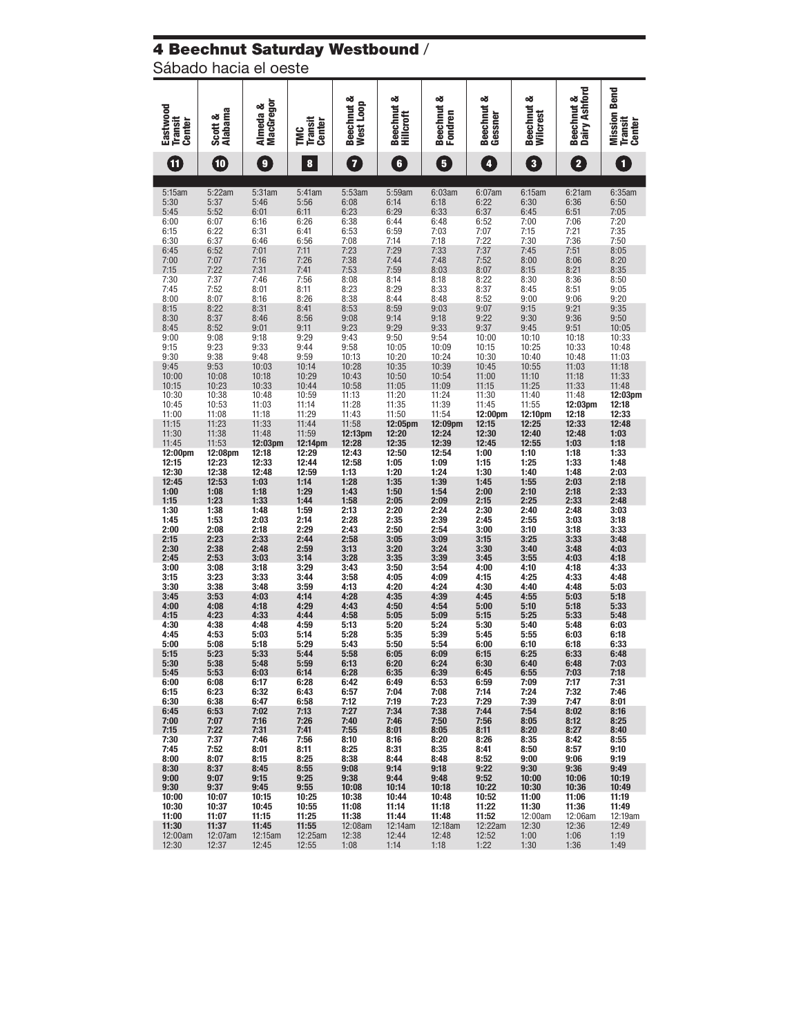#### 4 Beechnut Saturday Westbound /

Sábado hacia el oeste

| Eastwood                 | <b>Alabama</b><br>య      | MacGregor<br>Almeda & |                                        | Beechnut &<br>West Loop | Beechnut &<br><b>Hillcroft</b> | Beechnut &<br>Fondren | Beechnut &<br>Gessner | න්<br><b>Beechnut</b><br><b>Wilcrest</b> | Dairy Ashford<br>Beechnut & | <b>Mission Bend</b>             |
|--------------------------|--------------------------|-----------------------|----------------------------------------|-------------------------|--------------------------------|-----------------------|-----------------------|------------------------------------------|-----------------------------|---------------------------------|
| <b>Transit</b><br>Center | Scott                    |                       | <b>Transit</b><br>Center<br><b>ENG</b> |                         |                                |                       |                       |                                          |                             | <b>Transit</b><br><b>Center</b> |
| Œ                        | $\overline{\mathbf{10}}$ | $\bullet$             | 8                                      | 7                       | $\bullet$                      | 5                     | $\overline{4}$        | $\overline{\mathbf{3}}$                  | $\overline{\mathbf{2}}$     | $\mathbf{1}$                    |
| 5:15am                   | 5:22am                   | 5:31am                | 5:41am                                 | 5:53am                  | 5:59am                         | 6:03am                | $6:07$ am             | 6:15am                                   | 6:21am                      | 6:35am                          |
| 5:30<br>5:45             | 5:37<br>5:52             | 5:46<br>6:01          | 5:56<br>6:11                           | 6:08<br>6:23            | 6:14<br>6:29                   | 6:18<br>6:33          | 6:22<br>6:37          | 6:30<br>6:45                             | 6:36<br>6:51                | 6:50<br>7:05                    |
| 6:00                     | 6:07<br>6:22             | 6:16<br>6:31          | 6:26                                   | 6:38<br>6:53            | 6:44                           | 6:48<br>7:03          | 6:52<br>7:07          | 7:00                                     | 7:06                        | 7:20                            |
| 6:15<br>6:30             | 6:37                     | 6:46                  | 6:41<br>6:56                           | 7:08                    | 6:59<br>7:14                   | 7:18                  | 7:22                  | 7:15<br>7:30                             | 7:21<br>7:36                | 7:35<br>7:50                    |
| 6:45<br>7:00             | 6:52<br>7:07             | 7:01<br>7:16          | 7:11<br>7:26                           | 7:23<br>7:38            | 7:29<br>7:44                   | 7:33<br>7:48          | 7:37<br>7:52          | 7:45<br>8:00                             | 7:51<br>8:06                | 8:05<br>8:20                    |
| 7:15                     | 7:22                     | 7:31                  | 7:41                                   | 7:53                    | 7:59                           | 8:03                  | 8:07                  | 8:15                                     | 8:21                        | 8:35                            |
| 7:30<br>7:45             | 7:37<br>7:52             | 7:46<br>8:01          | 7:56<br>8:11                           | 8:08<br>8:23            | 8:14<br>8:29                   | 8:18<br>8:33          | 8:22<br>8:37          | 8:30<br>8:45                             | 8:36<br>8:51                | 8:50<br>9:05                    |
| 8:00                     | 8:07                     | 8:16                  | 8:26                                   | 8:38                    | 8:44                           | 8:48                  | 8:52                  | 9:00                                     | 9:06                        | 9:20                            |
| 8:15<br>8:30             | 8:22<br>8:37             | 8:31<br>8:46          | 8:41<br>8:56                           | 8:53<br>9:08            | 8:59<br>9:14                   | 9:03<br>9:18          | 9:07<br>9:22          | 9:15<br>9:30                             | 9:21<br>9:36                | 9:35<br>9:50                    |
| 8:45<br>9:00             | 8:52<br>9:08             | 9:01<br>9:18          | 9:11<br>9:29                           | 9:23<br>9:43            | 9:29<br>9:50                   | 9:33<br>9:54          | 9:37<br>10:00         | 9:45<br>10:10                            | 9:51<br>10:18               | 10:05<br>10:33                  |
| 9:15                     | 9:23                     | 9:33                  | 9:44                                   | 9:58                    | 10:05                          | 10:09                 | 10:15                 | 10:25                                    | 10:33                       | 10:48                           |
| 9:30<br>9:45             | 9:38<br>9:53             | 9:48<br>10:03         | 9:59<br>10:14                          | 10:13<br>10:28          | 10:20<br>10:35                 | 10:24<br>10:39        | 10:30<br>10:45        | 10:40<br>10:55                           | 10:48<br>11:03              | 11:03<br>11:18                  |
| 10:00                    | 10:08                    | 10:18                 | 10:29                                  | 10:43                   | 10:50                          | 10:54                 | 11:00                 | 11:10                                    | 11:18                       | 11:33                           |
| 10:15<br>10:30           | 10:23<br>10:38           | 10:33<br>10:48        | 10:44<br>10:59                         | 10:58<br>11:13          | 11:05<br>11:20                 | 11:09<br>11:24        | 11:15<br>11:30        | 11:25<br>11:40                           | 11:33<br>11:48              | 11:48<br>12:03pm                |
| 10:45                    | 10:53                    | 11:03                 | 11:14                                  | 11:28                   | 11:35                          | 11:39                 | 11:45                 | 11:55                                    | 12:03pm                     | 12:18                           |
| 11:00<br>11:15           | 11:08<br>11:23           | 11:18<br>11:33        | 11:29<br>11:44                         | 11:43<br>11:58          | 11:50<br>12:05pm               | 11:54<br>12:09pm      | 12:00pm<br>12:15      | 12:10pm<br>12:25                         | 12:18<br>12:33              | 12:33<br>12:48                  |
| 11:30                    | 11:38                    | 11:48                 | 11:59                                  | 12:13pm                 | 12:20                          | 12:24                 | 12:30                 | 12:40                                    | 12:48                       | 1:03                            |
| 11:45<br>12:00pm         | 11:53<br>12:08pm         | 12:03pm<br>12:18      | 12:14pm<br>12:29                       | 12:28<br>12:43          | 12:35<br>12:50                 | 12:39<br>12:54        | 12:45<br>1:00         | 12:55<br>1:10                            | 1:03<br>1:18                | 1:18<br>1:33                    |
| 12:15<br>12:30           | 12:23<br>12:38           | 12:33<br>12:48        | 12:44<br>12:59                         | 12:58<br>1:13           | 1:05<br>1:20                   | 1:09<br>1:24          | 1:15<br>1:30          | 1:25<br>1:40                             | 1:33<br>1:48                | 1:48<br>2:03                    |
| 12:45                    | 12:53                    | 1:03                  | 1:14                                   | 1:28                    | 1:35                           | 1:39                  | 1:45                  | 1:55                                     | 2:03                        | 2:18                            |
| 1:00<br>1:15             | 1:08<br>1:23             | 1:18<br>1:33          | 1:29<br>1:44                           | 1:43<br>1:58            | 1:50<br>2:05                   | 1:54<br>2:09          | 2:00<br>2:15          | 2:10<br>2:25                             | 2:18<br>2:33                | 2:33<br>2:48                    |
| 1:30                     | 1:38                     | 1:48                  | 1:59                                   | 2:13                    | 2:20                           | 2:24                  | 2:30                  | 2:40                                     | 2:48                        | 3:03                            |
| 1:45<br>2:00             | 1:53<br>2:08             | 2:03<br>2:18          | 2:14<br>2:29                           | 2:28<br>2:43            | 2:35<br>2:50                   | 2:39<br>2:54          | 2:45<br>3:00          | 2:55<br>3:10                             | 3:03<br>3:18                | 3:18<br>3:33                    |
| 2:15                     | 2:23                     | 2:33                  | 2:44                                   | 2:58                    | 3:05                           | 3:09                  | 3:15                  | 3:25                                     | 3:33                        | 3:48                            |
| 2:30<br>2:45             | 2:38<br>2:53             | 2:48<br>3:03          | 2:59<br>3:14                           | 3:13<br>3:28            | 3:20<br>3:35                   | 3:24<br>3:39          | 3:30<br>3:45          | 3:40<br>3:55                             | 3:48<br>4:03                | 4:03<br>4:18                    |
| 3:00<br>3:15             | 3:08<br>3:23             | 3:18<br>3:33          | 3:29<br>3:44                           | 3:43<br>3:58            | 3:50<br>4:05                   | 3:54<br>4:09          | 4:00<br>4:15          | 4:10<br>4:25                             | 4:18<br>4:33                | 4:33<br>4:48                    |
| 3:30                     | 3:38                     | 3:48                  | 3:59                                   | 4:13                    | 4:20                           | 4:24                  | 4:30                  | 4:40                                     | 4:48                        | 5:03                            |
| 3:45<br>4:00             | 3:53<br>4:08             | 4:03<br>4:18          | 4:14<br>4:29                           | 4:28<br>4:43            | 4:35<br>4:50                   | 4:39<br>4:54          | 4:45<br>5:00          | 4:55<br>5:10                             | 5:03<br>5:18                | 5:18<br>5:33                    |
| 4:15                     | 4:23                     | 4:33                  | 4:44                                   | 4:58                    | 5:05                           | 5:09                  | 5:15                  | 5:25                                     | 5:33                        | 5:48                            |
| 4:30<br>4:45             | 4:38<br>4:53             | 4:48<br>5:03          | 4:59<br>5:14                           | 5:13<br>5:28            | 5:20<br>5:35                   | 5:24<br>5:39          | 5:30<br>5:45          | 5:40<br>5:55                             | 5:48<br>6:03                | 6:03<br>6:18                    |
| 5:00                     | 5:08                     | 5:18                  | 5:29                                   | 5:43                    | 5:50                           | 5:54                  | 6:00                  | 6:10                                     | 6:18                        | 6:33                            |
| 5:15<br>5:30             | 5:23<br>5:38             | 5:33<br>5:48          | 5:44<br>5:59                           | 5:58<br>6:13            | 6:05<br>6:20                   | 6:09<br>6:24          | 6:15<br>6:30          | 6:25<br>6:40                             | 6:33<br>6:48                | 6:48<br>7:03                    |
| 5:45<br>6:00             | 5:53<br>6:08             | 6:03<br>6:17          | 6:14<br>6:28                           | 6:28<br>6:42            | 6:35<br>6:49                   | 6:39<br>6:53          | 6:45<br>6:59          | 6:55<br>7:09                             | 7:03<br>7:17                | 7:18<br>7:31                    |
| 6:15                     | 6:23                     | 6:32                  | 6:43                                   | 6:57                    | 7:04                           | 7:08                  | 7:14                  | 7:24                                     | 7:32                        | 7:46                            |
| 6:30<br>6:45             | 6:38<br>6:53             | 6:47<br>7:02          | 6:58<br>7:13                           | 7:12<br>7:27            | 7:19<br>7:34                   | 7:23<br>7:38          | 7:29<br>7:44          | 7:39<br>7:54                             | 7:47<br>8:02                | 8:01<br>8:16                    |
| 7:00                     | 7:07                     | 7:16                  | 7:26                                   | 7:40                    | 7:46                           | 7:50                  | 7:56                  | 8:05                                     | 8:12                        | 8:25                            |
| 7:15<br>7:30             | 7:22<br>7:37             | 7:31<br>7:46          | 7:41<br>7:56                           | 7:55<br>8:10            | 8:01<br>8:16                   | 8:05<br>8:20          | 8:11<br>8:26          | 8:20<br>8:35                             | 8:27<br>8:42                | 8:40<br>8:55                    |
| 7:45                     | 7:52                     | 8:01                  | 8:11                                   | 8:25                    | 8:31                           | 8:35                  | 8:41                  | 8:50                                     | 8:57                        | 9:10                            |
| 8:00<br>8:30             | 8:07<br>8:37             | 8:15<br>8:45          | 8:25<br>8:55                           | 8:38<br>9:08            | 8:44<br>9:14                   | 8:48<br>9:18          | 8:52<br>9:22          | 9:00<br>9:30                             | 9:06<br>9:36                | 9:19<br>9:49                    |
| 9:00                     | 9:07                     | 9:15                  | 9:25                                   | 9:38<br>10:08           | 9:44                           | 9:48                  | 9:52                  | 10:00                                    | 10:06                       | 10:19                           |
| 9:30<br>10:00            | 9:37<br>10:07            | 9:45<br>10:15         | 9:55<br>10:25                          | 10:38                   | 10:14<br>10:44                 | 10:18<br>10:48        | 10:22<br>10:52        | 10:30<br>11:00                           | 10:36<br>11:06              | 10:49<br>11:19                  |
| 10:30<br>11:00           | 10:37<br>11:07           | 10:45<br>11:15        | 10:55<br>11:25                         | 11:08<br>11:38          | 11:14<br>11:44                 | 11:18<br>11:48        | 11:22<br>11:52        | 11:30<br>12:00am                         | 11:36<br>12:06am            | 11:49<br>12:19am                |
| 11:30                    | 11:37                    | 11:45                 | 11:55                                  | $12:08$ am              | 12:14am                        | 12:18am               | 12:22am               | 12:30                                    | 12:36                       | 12:49                           |
| 12:00am<br>12:30         | 12:07am<br>12:37         | 12:15am<br>12:45      | 12:25am<br>12:55                       | 12:38<br>1:08           | 12:44<br>1:14                  | 12:48<br>1:18         | 12:52<br>1:22         | 1:00<br>1:30                             | 1:06<br>1:36                | 1:19<br>1:49                    |
|                          |                          |                       |                                        |                         |                                |                       |                       |                                          |                             |                                 |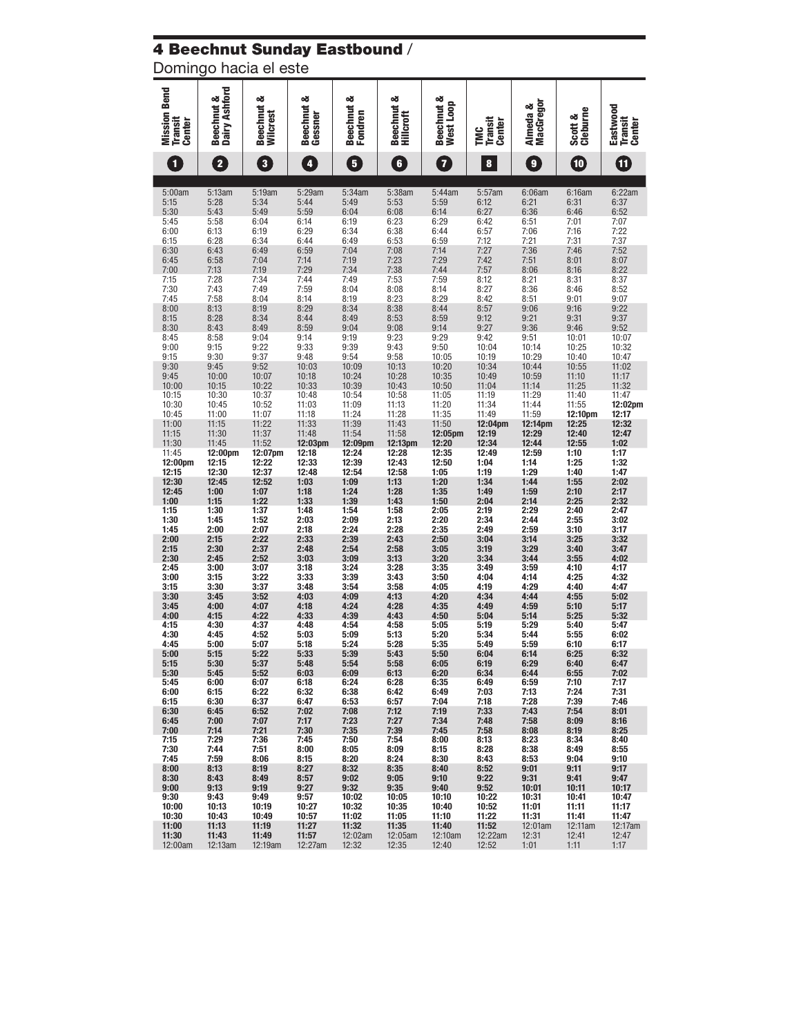# 4 Beechnut Sunday Eastbound /

Domingo hacia el este

| <b>Mission Bend</b><br><b>Transit</b><br><b>Center</b> | <b>Beechnut &amp;<br/>Dairy Ashford</b> | Beechnut &<br>Wilcrest       | Beechnut &<br>Gessner        | య<br><b>Beechnut</b><br>Fondren | Beechnut &<br><b>Hillcroft</b> | Beechnut &<br>West Loop      | <b>Transit</b><br><b>Center</b><br><b>ENC</b> | MacGregor<br>Almeda &        | Cleburne<br>ంఠ<br>Scott       | Eastwood<br>Transit<br>Center |
|--------------------------------------------------------|-----------------------------------------|------------------------------|------------------------------|---------------------------------|--------------------------------|------------------------------|-----------------------------------------------|------------------------------|-------------------------------|-------------------------------|
| $\mathbf{1}$                                           | $\overline{\mathbf{2}}$                 | $\overline{\mathbf{3}}$      | 4                            | 5                               | $\overline{\mathbf{6}}$        | $\overline{\mathbf{7}}$      | $\pmb{8}$                                     | 9                            | $\blacksquare$                | 0                             |
| 5:00am<br>5:15<br>5:30                                 | 5:13am<br>5:28<br>5:43                  | 5:19am<br>5:34<br>5:49       | 5:29am<br>5:44<br>5:59       | 5:34am<br>5:49<br>6:04          | 5:38am<br>5:53<br>6:08         | 5:44am<br>5:59<br>6:14       | 5:57am<br>6:12<br>6:27                        | 6:06am<br>$6:21$<br>$6:36$   | 6:16am<br>6:31<br>6:46        | 6:22am<br>6:37<br>6:52        |
| 5:45                                                   | 5:58                                    | 6:04                         | 6:14                         | 6:19                            | 6:23                           | 6:29                         | 6:42                                          | 6:51                         | 7:01                          | 7:07                          |
| 6:00                                                   | 6:13                                    | 6:19                         | 6:29                         | 6:34                            | 6:38                           | 6:44                         | 6:57                                          | 7:06                         | 7:16                          | 7:22                          |
| 6:15                                                   | 6:28                                    | 6:34                         | 6:44                         | 6:49                            | 6:53                           | 6:59                         | 7:12                                          | 7:21                         | 7:31                          | 7:37                          |
| 6:30                                                   | 6:43                                    | 6:49                         | 6:59                         | 7:04                            | 7:08                           | 7:14                         | 7:27                                          | 7:36                         | 7:46                          | 7:52                          |
| 6:45                                                   | 6:58                                    | 7:04                         | 7:14                         | 7:19                            | 7:23                           | 7:29                         | 7:42                                          | 7:51                         | 8:01                          | 8:07                          |
| 7:00                                                   | 7:13                                    | 7:19                         | 7:29                         | 7:34                            | 7:38                           | 7:44                         | 7:57                                          | 8:06                         | 8:16                          | 8:22                          |
| 7:15                                                   | 7:28                                    | 7:34                         | 7:44                         | 7:49                            | 7:53                           | 7:59                         | 8:12                                          | 8:21                         | 8:31                          | 8:37                          |
| 7:30                                                   | 7:43                                    | 7:49                         | 7:59                         | 8:04                            | 8:08                           | 8:14                         | 8:27                                          | 8:36                         | 8:46                          | 8:52                          |
| 7:45                                                   | 7:58                                    | 8:04                         | 8:14                         | 8:19                            | 8:23                           | 8:29                         | 8:42                                          | 8:51                         | 9:01                          | 9:07                          |
| 8:00<br>8:15<br>8:30<br>8:45                           | 8:13<br>8:28<br>8:43<br>8:58            | 8:19<br>8:34<br>8:49<br>9:04 | 8:29<br>8:44<br>8:59<br>9:14 | 8:34<br>8:49<br>9:04<br>9:19    | 8:38<br>8:53<br>9:08<br>9:23   | 8:44<br>8:59<br>9:14<br>9:29 | 8:57<br>9:12<br>9:27<br>9:42                  | 9:06<br>9:21<br>9:36<br>9:51 | 9:16<br>9:31<br>9:46<br>10:01 | 9:22<br>9:37<br>9:52<br>10:07 |
| 9:00                                                   | 9:15                                    | 9:22                         | 9:33                         | 9:39                            | 9:43                           | 9:50                         | 10:04                                         | 10:14                        | 10:25                         | 10:32                         |
| 9:15                                                   | 9:30                                    | 9:37                         | 9:48                         | 9:54                            | 9:58                           | 10:05                        | 10:19                                         | 10:29                        | 10:40                         | 10:47                         |
| 9:30                                                   | 9:45                                    | 9:52                         | 10:03                        | 10:09                           | 10:13                          | 10:20                        | 10:34                                         | 10:44                        | 10:55                         | 11:02                         |
| 9:45                                                   | 10:00                                   | 10:07                        | 10:18                        | 10:24                           | 10:28                          | 10:35                        | 10:49                                         | 10:59                        | 11:10                         | 11:17                         |
| 10:00                                                  | 10:15                                   | 10:22                        | 10:33                        | 10:39                           | 10:43                          | 10:50                        | 11:04                                         | 11:14                        | 11:25                         | 11:32                         |
| 10:15                                                  | 10:30                                   | 10:37                        | 10:48                        | 10:54                           | 10:58                          | 11:05                        | 11:19                                         | 11:29                        | 11:40                         | 11:47                         |
| 10:30                                                  | 10:45                                   | 10:52                        | 11:03                        | 11:09                           | 11:13                          | 11:20                        | 11:34                                         | 11:44                        | 11:55                         | 12:02pm                       |
| 10:45                                                  | 11:00                                   | 11:07                        | 11:18                        | 11:24                           | 11:28                          | 11:35                        | 11:49                                         | 11:59                        | 12:10pm                       | 12:17                         |
| 11:00                                                  | 11:15                                   | 11:22                        | 11:33                        | 11:39                           | 11:43                          | 11:50                        | 12:04pm                                       | 12:14pm                      | 12:25                         | 12:32                         |
| 11:15                                                  | 11:30                                   | 11:37                        | 11:48                        | 11:54                           | 11:58                          | 12:05pm                      | 12:19                                         | 12:29                        | 12:40                         | 12:47                         |
| 11:30<br>11:45<br>12:00pm                              | 11:45<br>12:00pm<br>12:15               | 11:52<br>12:07pm<br>12:22    | 12:03pm<br>12:18<br>12:33    | 12:09pm<br>12:24<br>12:39       | 12:13pm<br>12:28<br>12:43      | 12:20<br>12:35<br>12:50      | 12:34<br>12:49<br>1:04                        | 12:44<br>12:59<br>1:14       | 12:55<br>1:10<br>1:25         | 1:02<br>1:17<br>1:32          |
| 12:15                                                  | 12:30                                   | 12:37                        | 12:48                        | 12:54                           | 12:58                          | 1:05                         | 1:19                                          | 1:29                         | 1:40                          | 1:47                          |
| 12:30                                                  | 12:45                                   | 12:52                        | 1:03                         | 1:09                            | 1:13                           | 1:20                         | 1:34                                          | 1:44                         | 1:55                          | 2:02                          |
| 12:45                                                  | 1:00                                    | 1:07                         | 1:18                         | 1:24                            | 1:28                           | 1:35                         | 1:49                                          | 1:59                         | 2:10                          | 2:17                          |
| 1:00<br>1:15<br>1:30<br>1:45                           | 1:15<br>1:30<br>1:45<br>2:00            | 1:22<br>1:37<br>1:52<br>2:07 | 1:33<br>1:48<br>2:03<br>2:18 | 1:39<br>1:54<br>2:09<br>2:24    | 1:43<br>1:58<br>2:13<br>2:28   | 1:50<br>2:05<br>2:20<br>2:35 | 2:04<br>2:19<br>2:34<br>2:49                  | 2:14<br>2:29<br>2:44<br>2:59 | 2:25<br>2:40<br>2:55<br>3:10  | 2:32<br>2:47<br>3:02<br>3:17  |
| 2:00                                                   | 2:15                                    | 2:22                         | 2:33                         | 2:39                            | 2:43                           | 2:50                         | 3:04                                          | 3:14                         | 3:25                          | 3:32                          |
| 2:15                                                   | 2:30                                    | 2:37                         | 2:48                         | 2:54                            | 2:58                           | 3:05                         | 3:19                                          | 3:29                         | 3:40                          | 3:47                          |
| 2:30                                                   | 2:45                                    | 2:52                         | 3:03                         | 3:09                            | 3:13                           | 3:20                         | 3:34                                          | 3:44                         | 3:55                          | 4:02                          |
| 2:45                                                   | 3:00                                    | 3:07                         | 3:18                         | 3:24                            | 3:28                           | 3:35                         | 3:49                                          | 3:59                         | 4:10                          | 4:17                          |
| 3:00                                                   | 3:15                                    | 3:22                         | 3:33                         | 3:39                            | 3:43                           | 3:50                         | 4:04                                          | 4:14                         | 4:25                          | 4:32                          |
| 3:15                                                   | 3:30                                    | 3:37                         | 3:48                         | 3:54                            | 3:58                           | 4:05                         | 4:19                                          | 4:29                         | 4:40                          | 4:47                          |
| 3:30                                                   | 3:45                                    | 3:52                         | 4:03                         | 4:09                            | 4:13                           | 4:20                         | 4:34                                          | 4:44                         | 4:55                          | 5:02                          |
| 3:45                                                   | 4:00                                    | 4:07                         | 4:18                         | 4:24                            | 4:28                           | 4:35                         | 4:49                                          | 4:59                         | 5:10                          | 5:17                          |
| 4:00                                                   | 4:15                                    | 4:22                         | 4:33                         | 4:39                            | 4:43                           | 4:50                         | 5:04                                          | 5:14                         | 5:25                          | 5:32                          |
| 4:15                                                   | 4:30                                    | 4:37                         | 4:48                         | 4:54                            | 4:58                           | 5:05                         | 5:19                                          | 5:29                         | 5:40                          | 5:47                          |
| 4:30                                                   | 4:45                                    | 4:52                         | 5:03                         | 5:09                            | 5:13                           | 5:20                         | 5:34                                          | 5:44                         | 5:55                          | 6:02                          |
| 4:45                                                   | 5:00                                    | 5:07                         | 5:18                         | 5:24                            | 5:28                           | 5:35                         | 5:49                                          | 5:59                         | 6:10                          | 6:17                          |
| 5:00                                                   | 5:15                                    | 5:22                         | 5:33                         | 5:39                            | 5:43                           | 5:50                         | 6:04                                          | 6:14                         | 6:25                          | 6:32                          |
| 5:15                                                   | 5:30                                    | 5:37                         | 5:48                         | ხ:54                            | 5:58                           | 6:05                         | 6:19                                          | 6:29                         | 6:40                          | 6:47                          |
| 5:30                                                   | 5:45                                    | 5:52                         | 6:03                         | 6:09                            | 6:13                           | 6:20                         | 6:34                                          | 6:44                         | 6:55                          | 7:02                          |
| 5:45                                                   | 6:00                                    | 6:07                         | 6:18                         | 6:24                            | 6:28                           | 6:35                         | 6:49                                          | 6:59                         | 7:10                          | 7:17                          |
| 6:00                                                   | 6:15                                    | 6:22                         | 6:32                         | 6:38                            | 6:42                           | 6:49                         | 7:03                                          | 7:13                         | 7:24                          | 7:31                          |
| 6:15                                                   | 6:30                                    | 6:37                         | 6:47                         | 6:53                            | 6:57                           | 7:04                         | 7:18                                          | 7:28                         | 7:39                          | 7:46                          |
| 6:30                                                   | 6:45                                    | 6:52                         | 7:02                         | 7:08                            | 7:12                           | 7:19                         | 7:33                                          | 7:43                         | 7:54                          | 8:01                          |
| 6:45                                                   | 7:00                                    | 7:07                         | 7:17                         | 7:23                            | 7:27                           | 7:34                         | 7:48                                          | 7:58                         | 8:09                          | 8:16                          |
| 7:00                                                   | 7:14                                    | 7:21                         | 7:30                         | 7:35                            | 7:39                           | 7:45                         | 7:58                                          | 8:08                         | 8:19                          | 8:25                          |
| 7:15                                                   | 7:29                                    | 7:36                         | 7:45                         | 7:50                            | 7:54                           | 8:00                         | 8:13                                          | 8:23                         | 8:34                          | 8:40                          |
| 7:30                                                   | 7:44                                    | 7:51                         | 8:00                         | 8:05                            | 8:09                           | 8:15                         | 8:28                                          | 8:38                         | 8:49                          | 8:55                          |
| 7:45                                                   | 7:59                                    | 8:06                         | 8:15                         | 8:20                            | 8:24                           | 8:30                         | 8:43                                          | 8:53                         | 9:04                          | 9:10                          |
| 8:00                                                   | 8:13                                    | 8:19                         | 8:27                         | 8:32                            | 8:35                           | 8:40                         | 8:52                                          | 9:01                         | 9:11                          | 9:17                          |
| 8:30                                                   | 8:43                                    | 8:49                         | 8:57                         | 9:02                            | 9:05                           | 9:10                         | 9:22                                          | 9:31                         | 9:41                          | 9:47                          |
| 9:00                                                   | 9:13                                    | 9:19                         | 9:27                         | 9:32                            | 9:35                           | 9:40                         | 9:52                                          | 10:01                        | 10:11                         | 10:17                         |
| 9:30                                                   | 9:43                                    | 9:49                         | 9:57                         | 10:02                           | 10:05                          | 10:10                        | 10:22                                         | 10:31                        | 10:41                         | 10:47                         |
| 10:00                                                  | 10:13                                   | 10:19                        | 10:27                        | 10:32                           | 10:35                          | 10:40                        | 10:52                                         | 11:01                        | 11:11                         | 11:17                         |
| 10:30                                                  | 10:43                                   | 10:49                        | 10:57                        | 11:02                           | 11:05                          | 11:10                        | 11:22                                         | 11:31                        | 11:41                         | 11:47                         |
| 11:00                                                  | 11:13                                   | 11:19                        | 11:27                        | 11:32                           | 11:35                          | 11:40                        | 11:52                                         | 12:01am                      | 12:11am                       | 12:17am                       |
| 11:30                                                  | 11:43                                   | 11:49                        | 11:57                        | 12:02am                         | 12:05am                        | 12:10am                      | 12:22am                                       | 12:31                        | 12:41                         | 12:47                         |
| 12:00am                                                | 12:13am                                 | 12:19am                      | 12:27am                      | 12:32                           | 12:35                          | 12:40                        | 12:52                                         | 1:01                         | 1:11                          | 1:17                          |